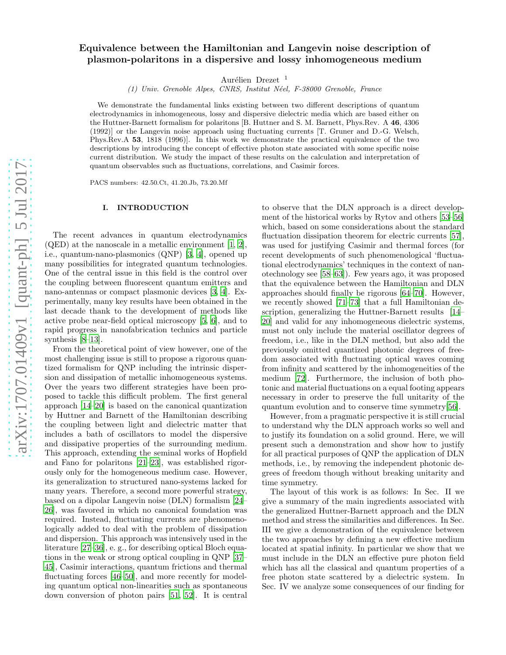# arXiv:1707.01409v1 [quant-ph] 5 Jul 2017 [arXiv:1707.01409v1 \[quant-ph\] 5 Jul 2017](http://arxiv.org/abs/1707.01409v1)

# Equivalence between the Hamiltonian and Langevin noise description of plasmon-polaritons in a dispersive and lossy inhomogeneous medium

Aurélien Drezet  $1$ 

(1) Univ. Grenoble Alpes, CNRS, Institut N´eel, F-38000 Grenoble, France

We demonstrate the fundamental links existing between two different descriptions of quantum electrodynamics in inhomogeneous, lossy and dispersive dielectric media which are based either on the Huttner-Barnett formalism for polaritons [B. Huttner and S. M. Barnett, Phys.Rev. A 46, 4306 (1992)] or the Langevin noise approach using fluctuating currents [T. Gruner and D.-G. Welsch, Phys.Rev.A 53, 1818 (1996)]. In this work we demonstrate the practical equivalence of the two descriptions by introducing the concept of effective photon state associated with some specific noise current distribution. We study the impact of these results on the calculation and interpretation of quantum observables such as fluctuations, correlations, and Casimir forces.

PACS numbers: 42.50.Ct, 41.20.Jb, 73.20.Mf

#### I. INTRODUCTION

The recent advances in quantum electrodynamics  $(QED)$  at the nanoscale in a metallic environment [\[1,](#page-15-0) [2\]](#page-15-1), i.e., quantum-nano-plasmonics (QNP) [\[3](#page-15-2), [4\]](#page-15-3), opened up many possibilities for integrated quantum technologies. One of the central issue in this field is the control over the coupling between fluorescent quantum emitters and nano-antennas or compact plasmonic devices [\[3,](#page-15-2) [4](#page-15-3)]. Experimentally, many key results have been obtained in the last decade thank to the development of methods like active probe near-field optical microscopy [\[5](#page-15-4), [6\]](#page-15-5), and to rapid progress in nanofabrication technics and particle synthesis [\[8](#page-15-6)[–13\]](#page-15-7).

From the theoretical point of view however, one of the most challenging issue is still to propose a rigorous quantized formalism for QNP including the intrinsic dispersion and dissipation of metallic inhomogeneous systems. Over the years two different strategies have been proposed to tackle this difficult problem. The first general approach [\[14](#page-15-8)[–20\]](#page-15-9) is based on the canonical quantization by Huttner and Barnett of the Hamiltonian describing the coupling between light and dielectric matter that includes a bath of oscillators to model the dispersive and dissipative properties of the surrounding medium. This approach, extending the seminal works of Hopfield and Fano for polaritons [\[21](#page-15-10)[–23](#page-15-11)], was established rigorously only for the homogeneous medium case. However, its generalization to structured nano-systems lacked for many years. Therefore, a second more powerful strategy, based on a dipolar Langevin noise (DLN) formalism [\[24](#page-15-12)– [26\]](#page-15-13), was favored in which no canonical foundation was required. Instead, fluctuating currents are phenomenologically added to deal with the problem of dissipation and dispersion. This approach was intensively used in the literature [\[27](#page-15-14)[–36\]](#page-15-15), e. g., for describing optical Bloch equations in the weak or strong optical coupling in QNP [\[37](#page-15-16)– [45\]](#page-15-17), Casimir interactions, quantum frictions and thermal fluctuating forces [\[46](#page-15-18)[–50](#page-15-19)], and more recently for modeling quantum optical non-linearities such as spontaneous down conversion of photon pairs [\[51](#page-15-20), [52\]](#page-15-21). It is central

to observe that the DLN approach is a direct development of the historical works by Rytov and others [\[53](#page-15-22)[–56\]](#page-15-23) which, based on some considerations about the standard fluctuation dissipation theorem for electric currents [\[57\]](#page-15-24), was used for justifying Casimir and thermal forces (for recent developments of such phenomenological 'fluctuational electrodynamics' techniques in the context of nanotechnology see [\[58](#page-15-25)[–63\]](#page-15-26)). Few years ago, it was proposed that the equivalence between the Hamiltonian and DLN approaches should finally be rigorous [\[64](#page-15-27)[–70\]](#page-16-0). However, we recently showed [\[71](#page-16-1)[–73\]](#page-16-2) that a full Hamiltonian description, generalizing the Huttner-Barnett results [\[14](#page-15-8)– [20\]](#page-15-9) and valid for any inhomogeneous dielectric systems, must not only include the material oscillator degrees of freedom, i.e., like in the DLN method, but also add the previously omitted quantized photonic degrees of freedom associated with fluctuating optical waves coming from infinity and scattered by the inhomogeneities of the medium [\[72](#page-16-3)]. Furthermore, the inclusion of both photonic and material fluctuations on a equal footing appears necessary in order to preserve the full unitarity of the quantum evolution and to conserve time symmetry[\[56\]](#page-15-23).

However, from a pragmatic perspective it is still crucial to understand why the DLN approach works so well and to justify its foundation on a solid ground. Here, we will present such a demonstration and show how to justify for all practical purposes of QNP the application of DLN methods, i.e., by removing the independent photonic degrees of freedom though without breaking unitarity and time symmetry.

The layout of this work is as follows: In Sec. II we give a summary of the main ingredients associated with the generalized Huttner-Barnett approach and the DLN method and stress the similarities and differences. In Sec. III we give a demonstration of the equivalence between the two approaches by defining a new effective medium located at spatial infinity. In particular we show that we must include in the DLN an effective pure photon field which has all the classical and quantum properties of a free photon state scattered by a dielectric system. In Sec. IV we analyze some consequences of our finding for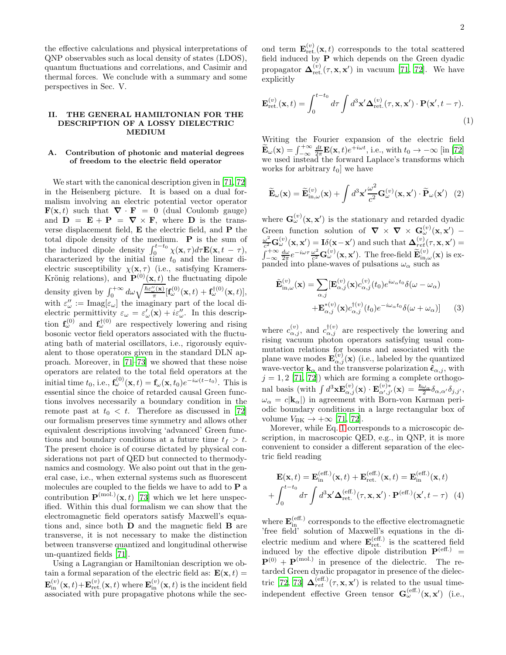the effective calculations and physical interpretations of QNP observables such as local density of states (LDOS), quantum fluctuations and correlations, and Casimir and thermal forces. We conclude with a summary and some perspectives in Sec. V.

#### II. THE GENERAL HAMILTONIAN FOR THE DESCRIPTION OF A LOSSY DIELECTRIC MEDIUM

### A. Contribution of photonic and material degrees of freedom to the electric field operator

We start with the canonical description given in [\[71](#page-16-1), [72](#page-16-3)] in the Heisenberg picture. It is based on a dual formalism involving an electric potential vector operator  $\mathbf{F}(\mathbf{x}, t)$  such that  $\nabla \cdot \mathbf{F} = 0$  (dual Coulomb gauge) and  $\mathbf{D} = \mathbf{E} + \mathbf{P} = \nabla \times \mathbf{F}$ , where  $\mathbf{D}$  is the transverse displacement field, E the electric field, and P the total dipole density of the medium.  $\bf{P}$  is the sum of the induced dipole density  $\int_0^{t-t_0} \chi(\mathbf{x}, \tau) d\tau \mathbf{E}(\mathbf{x}, t - \tau)$ , characterized by the initial time  $t_0$  and the linear dielectric susceptibility  $\chi(\mathbf{x}, \tau)$  (i.e., satisfying Kramers-Krönig relations), and  $\mathbf{P}^{(0)}(\mathbf{x},t)$  the fluctuating dipole density given by  $\int_0^{+\infty} d\omega \sqrt{\frac{\hbar \varepsilon''_{\omega}(\mathbf{x})}{\pi}} [\mathbf{f}_{\omega}^{(0)}(\mathbf{x},t) + \mathbf{f}_{\omega}^{\dagger(0)}(\mathbf{x},t)],$ with  $\varepsilon''_{\omega} := \text{Imag}[\varepsilon_{\omega}]$  the imaginary part of the local dielectric permittivity  $\varepsilon_{\omega} = \varepsilon_{\omega}'(\mathbf{x}) + i\varepsilon_{\omega}''$ . In this description  $f_{\omega}^{(0)}$  and  $f_{\omega}^{\dagger(0)}$  are respectively lowering and rising bosonic vector field operators associated with the fluctuating bath of material oscillators, i.e., rigorously equivalent to those operators given in the standard DLN approach. Moreover, in [\[71](#page-16-1)[–73\]](#page-16-2) we showed that these noise operators are related to the total field operators at the initial time  $t_0$ , i.e.,  $\mathbf{f}_{\omega}^{(0)}(\mathbf{x},t) = \mathbf{f}_{\omega}(\mathbf{x},t_0)e^{-i\omega(t-t_0)}$ . This is essential since the choice of retarded causal Green functions involves necessarily a boundary condition in the remote past at  $t_0 < t$ . Therefore as discussed in [\[72](#page-16-3)] our formalism preserves time symmetry and allows other equivalent descriptions involving 'advanced' Green functions and boundary conditions at a future time  $t_f > t$ . The present choice is of course dictated by physical considerations not part of QED but connected to thermodynamics and cosmology. We also point out that in the general case, i.e., when external systems such as fluorescent molecules are coupled to the fields we have to add to P a contribution  $\mathbf{P}^{(mol.)}(\mathbf{x},t)$  [\[73\]](#page-16-2) which we let here unspecified. Within this dual formalism we can show that the electromagnetic field operators satisfy Maxwell's equations and, since both D and the magnetic field B are transverse, it is not necessary to make the distinction between transverse quantized and longitudinal otherwise un-quantized fields [\[71](#page-16-1)].

Using a Lagrangian or Hamiltonian description we obtain a formal separation of the electric field as:  $\mathbf{E}(\mathbf{x}, t) =$  $\mathbf{E}_{\textrm{in}}^{(v)}(\mathbf{x},t)\!+\!\mathbf{E}_{\textrm{ret.}}^{(v)}(\mathbf{x},t)$  where  $\mathbf{E}_{\textrm{in}}^{(v)}(\mathbf{x},t)$  is the incident field associated with pure propagative photons while the sec-

ond term  $\mathbf{E}_{\text{ret.}}^{(v)}(\mathbf{x},t)$  corresponds to the total scattered field induced by P which depends on the Green dyadic propagator  $\mathbf{\Delta}_{\text{ret.}}^{(v)}(\tau, \mathbf{x}, \mathbf{x}')$  in vacuum [\[71,](#page-16-1) [72\]](#page-16-3). We have explicitly

<span id="page-1-0"></span>
$$
\mathbf{E}_{\rm ret.}^{(v)}(\mathbf{x},t) = \int_0^{t-t_0} d\tau \int d^3 \mathbf{x}' \Delta_{\rm ret.}^{(v)}(\tau, \mathbf{x}, \mathbf{x}') \cdot \mathbf{P}(\mathbf{x}', t - \tau).
$$
\n(1)

Writing the Fourier expansion of the electric field  $\widetilde{\mathbf{E}}_{\omega}(\mathbf{x}) = \int_{-\infty}^{+\infty}$  $\frac{dt}{2\pi}\mathbf{E}(\mathbf{x},t)e^{+i\omega t}$ , i.e., with  $t_0 \to -\infty$  [in [\[72](#page-16-3)] we used instead the forward Laplace's transforms which works for arbitrary  $t_0$  we have

$$
\widetilde{\mathbf{E}}_{\omega}(\mathbf{x}) = \widetilde{\mathbf{E}}_{\textrm{in},\omega}^{(v)}(\mathbf{x}) + \int d^3 \mathbf{x}' \frac{\omega^2}{c^2} \mathbf{G}_{\omega}^{(v)}(\mathbf{x}, \mathbf{x}') \cdot \widetilde{\mathbf{P}}_{\omega}(\mathbf{x}') \tag{2}
$$

where  $\mathbf{G}_{\omega}^{(v)}(\mathbf{x}, \mathbf{x}')$  is the stationary and retarded dyadic Green function solution of  $\nabla \times \nabla \times \mathbf{G}_{\omega}^{(v)}(\mathbf{x}, \mathbf{x}')$  $\omega^2$  $\frac{\omega^2}{c^2} \mathbf{G}_{\omega}^{(v)}(\mathbf{x},\mathbf{x}') = \mathbf{I} \delta(\mathbf{x}-\mathbf{x}')$  and such that  $\boldsymbol{\Delta}_{ret}^{(v)}(\tau,\mathbf{x},\mathbf{x}') =$  $\int_{-\infty}^{+\infty}$  $\frac{d\omega}{2\pi}e^{-i\omega\tau}\frac{\omega^2}{c^2}$  $\frac{\omega^2}{c^2} \mathbf{G}_{\omega}^{(v)}(\mathbf{x}, \mathbf{x}')$ . The free-field  $\widetilde{\mathbf{E}}_{\textrm{in},\omega}^{(v)}(\mathbf{x})$  is expanded into plane-waves of pulsations  $\omega_{\alpha}$  such as

<span id="page-1-1"></span>
$$
\tilde{\mathbf{E}}_{\textrm{in},\omega}^{(v)}(\mathbf{x}) = \sum_{\alpha,j} [\mathbf{E}_{\alpha,j}^{(v)}(\mathbf{x}) c_{\alpha,j}^{(v)}(t_0) e^{i\omega_{\alpha}t_0} \delta(\omega - \omega_{\alpha}) \n+ \mathbf{E}_{\alpha,j}^{*(v)}(\mathbf{x}) c_{\alpha,j}^{\dagger(v)}(t_0) e^{-i\omega_{\alpha}t_0} \delta(\omega + \omega_{\alpha})]
$$
\n(3)

where  $c_{\alpha,j}^{(v)}$ , and  $c_{\alpha,j}^{\dagger(v)}$  are respectively the lowering and rising vacuum photon operators satisfying usual commutation relations for bosons and associated with the plane wave modes  $\mathbf{E}^{(v)}_{\alpha,j}(\mathbf{x})$  (i.e., labeled by the quantized wave-vector  $\mathbf{k}_{\alpha}$  and the transverse polarization  $\hat{\epsilon}_{\alpha,j}$ , with  $j=1,2\ [71,\,72])$  $j=1,2\ [71,\,72])$  $j=1,2\ [71,\,72])$  which are forming a complete orthogonal basis (with  $\int d^3 \mathbf{x} \mathbf{E}^{(v)}_{\alpha,j}(\mathbf{x}) \cdot \mathbf{E}^{(v)*}_{\alpha',j'}(\mathbf{x}) = \frac{\hbar \omega_\alpha}{2} \delta_{\alpha,\alpha'} \delta_{j,j'}$ ,  $\omega_{\alpha} = c|\mathbf{k}_{\alpha}|$  in agreement with Born-von Karman periodic boundary conditions in a large rectangular box of volume  $V_{\text{BK}} \rightarrow +\infty$  [\[71,](#page-16-1) [72\]](#page-16-3).

Morever, while Eq. [1](#page-1-0) corresponds to a microscopic description, in macroscopic QED, e.g., in QNP, it is more convenient to consider a different separation of the electric field reading

<span id="page-1-2"></span>
$$
\mathbf{E}(\mathbf{x},t) = \mathbf{E}_{\text{in}}^{(\text{eff.})}(\mathbf{x},t) + \mathbf{E}_{\text{ret.}}^{(\text{eff.})}(\mathbf{x},t) = \mathbf{E}_{\text{in}}^{(\text{eff.})}(\mathbf{x},t)
$$

$$
+ \int_{0}^{t-t_0} d\tau \int d^3 \mathbf{x}' \mathbf{\Delta}_{\text{ret.}}^{(\text{eff.})}(\tau, \mathbf{x}, \mathbf{x}') \cdot \mathbf{P}^{(\text{eff.})}(\mathbf{x}', t - \tau) \tag{4}
$$

where  $\mathbf{E}_{\text{in}}^{(\text{eff.})}$  corresponds to the effective electromagnetic 'free field' solution of Maxwell's equations in the dielectric medium and where  $\mathbf{E}_{\text{ret.}}^{(\text{eff.})}$  is the scattered field induced by the effective dipole distribution  $P^{(eff.)}$  =  $P^{(0)} + P^{(mol.)}$  in presence of the dielectric. The retarded Green dyadic propagator in presence of the dielec-tric [\[72,](#page-16-3) [73](#page-16-2)]  $\Delta_{ret}^{(eff.)}(\tau, \mathbf{x}, \mathbf{x}')$  is related to the usual timeindependent effective Green tensor  $\mathbf{G}_{\omega}^{(\text{eff.})}(\mathbf{x}, \mathbf{x}')$  (i.e.,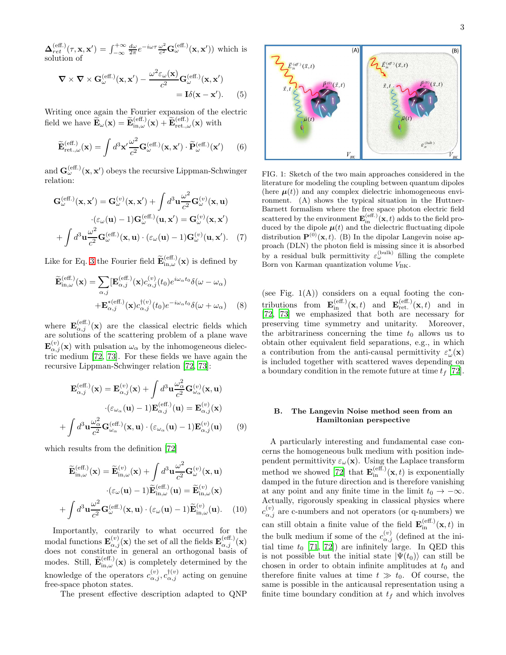$\Delta_{ret}^{\text{(eff.)}}(\tau,\mathbf{x},\mathbf{x}') = \int_{-\infty}^{+\infty}$  $\frac{d\omega}{2\pi}e^{-i\omega\tau}\frac{\omega^2}{c^2}$  $\frac{\omega^2}{c^2} \mathbf{G}^{\text{(eff.)}}_{\omega}(\mathbf{x}, \mathbf{x}'))$  which is solution of

<span id="page-2-2"></span>
$$
\nabla \times \nabla \times \mathbf{G}_{\omega}^{(\text{eff.})}(\mathbf{x}, \mathbf{x}') - \frac{\omega^2 \varepsilon_{\omega}(\mathbf{x})}{c^2} \mathbf{G}_{\omega}^{(\text{eff.})}(\mathbf{x}, \mathbf{x}') = \mathbf{I} \delta(\mathbf{x} - \mathbf{x}'). \tag{5}
$$

Writing once again the Fourier expansion of the electric field we have  $\widetilde{\mathbf{E}}_{\omega}(\mathbf{x}) = \widetilde{\mathbf{E}}_{\textrm{in},\omega}^{(\textrm{eff.})}(\mathbf{x}) + \widetilde{\mathbf{E}}_{\textrm{ret.},\omega}^{(\textrm{eff.})}(\mathbf{x})$  with

<span id="page-2-0"></span>
$$
\widetilde{\mathbf{E}}_{\text{ret.},\omega}^{(\text{eff.})}(\mathbf{x}) = \int d^3 \mathbf{x}' \frac{\omega^2}{c^2} \mathbf{G}_{\omega}^{(\text{eff.})}(\mathbf{x}, \mathbf{x}') \cdot \widetilde{\mathbf{P}}_{\omega}^{(\text{eff.})}(\mathbf{x}') \qquad (6)
$$

and  $\mathbf{G}_{\omega}^{(\textrm{eff.})}(\mathbf{x},\mathbf{x}')$  obeys the recursive Lippman-Schwinger relation:

$$
\mathbf{G}_{\omega}^{(\text{eff.})}(\mathbf{x}, \mathbf{x}') = \mathbf{G}_{\omega}^{(v)}(\mathbf{x}, \mathbf{x}') + \int d^{3} \mathbf{u} \frac{\omega^{2}}{c^{2}} \mathbf{G}_{\omega}^{(v)}(\mathbf{x}, \mathbf{u})
$$

$$
\cdot (\varepsilon_{\omega}(\mathbf{u}) - 1) \mathbf{G}_{\omega}^{(\text{eff.})}(\mathbf{u}, \mathbf{x}') = \mathbf{G}_{\omega}^{(v)}(\mathbf{x}, \mathbf{x}')
$$

$$
+ \int d^{3} \mathbf{u} \frac{\omega^{2}}{c^{2}} \mathbf{G}_{\omega}^{(\text{eff.})}(\mathbf{x}, \mathbf{u}) \cdot (\varepsilon_{\omega}(\mathbf{u}) - 1) \mathbf{G}_{\omega}^{(v)}(\mathbf{u}, \mathbf{x}'). \quad (7)
$$

Like for Eq. [3](#page-1-1) the Fourier field  $\widetilde{\mathbf{E}}_{\textrm{in},\omega}^{(\textrm{eff.})}(\mathbf{x})$  is defined by

<span id="page-2-1"></span>
$$
\widetilde{\mathbf{E}}_{\textrm{in},\omega}^{(\textrm{eff.})}(\mathbf{x}) = \sum_{\alpha,j} [\mathbf{E}_{\alpha,j}^{(\textrm{eff.})}(\mathbf{x}) c_{\alpha,j}^{(v)}(t_0) e^{i\omega_{\alpha} t_0} \delta(\omega - \omega_{\alpha}) \n+ \mathbf{E}_{\alpha,j}^{*(\textrm{eff.})}(\mathbf{x}) c_{\alpha,j}^{\dagger(v)}(t_0) e^{-i\omega_{\alpha} t_0} \delta(\omega + \omega_{\alpha})
$$
\n(8)

where  $\mathbf{E}_{\alpha,j}^{(\text{eff.})}(\mathbf{x})$  are the classical electric fields which are solutions of the scattering problem of a plane wave  $\mathbf{E}^{(v)}_{\alpha,j}(\mathbf{x})$  with pulsation  $\omega_{\alpha}$  by the inhomogeneous dielectric medium [\[72,](#page-16-3) [73](#page-16-2)]. For these fields we have again the recursive Lippman-Schwinger relation [\[72](#page-16-3), [73](#page-16-2)]:

$$
\mathbf{E}_{\alpha,j}^{(\text{eff.})}(\mathbf{x}) = \mathbf{E}_{\alpha,j}^{(v)}(\mathbf{x}) + \int d^3 \mathbf{u} \frac{\omega_{\alpha}^2}{c^2} \mathbf{G}_{\omega_{\alpha}}^{(v)}(\mathbf{x}, \mathbf{u})
$$

$$
\cdot (\varepsilon_{\omega_{\alpha}}(\mathbf{u}) - 1) \mathbf{E}_{\alpha,j}^{(\text{eff.})}(\mathbf{u}) = \mathbf{E}_{\alpha,j}^{(v)}(\mathbf{x})
$$

$$
+ \int d^3 \mathbf{u} \frac{\omega_{\alpha}^2}{c^2} \mathbf{G}_{\omega_{\alpha}}^{(\text{eff.})}(\mathbf{x}, \mathbf{u}) \cdot (\varepsilon_{\omega_{\alpha}}(\mathbf{u}) - 1) \mathbf{E}_{\alpha,j}^{(v)}(\mathbf{u}) \qquad (9)
$$

which results from the definition [\[72\]](#page-16-3)

$$
\widetilde{\mathbf{E}}_{\textrm{in},\omega}^{(\textrm{eff.})}(\mathbf{x}) = \widetilde{\mathbf{E}}_{\textrm{in},\omega}^{(v)}(\mathbf{x}) + \int d^3 \mathbf{u} \frac{\omega^2}{c^2} \mathbf{G}_{\omega}^{(v)}(\mathbf{x}, \mathbf{u}) \n\cdot (\varepsilon_{\omega}(\mathbf{u}) - 1) \widetilde{\mathbf{E}}_{\textrm{in},\omega}^{(\textrm{eff.})}(\mathbf{u}) = \widetilde{\mathbf{E}}_{\textrm{in},\omega}^{(v)}(\mathbf{x}) \n+ \int d^3 \mathbf{u} \frac{\omega^2}{c^2} \mathbf{G}_{\omega}^{(\textrm{eff.})}(\mathbf{x}, \mathbf{u}) \cdot (\varepsilon_{\omega}(\mathbf{u}) - 1) \widetilde{\mathbf{E}}_{\textrm{in},\omega}^{(v)}(\mathbf{u}).
$$
\n(10)

Importantly, contrarily to what occurred for the modal functions  $\mathbf{E}^{(v)}_{\alpha,j}(\mathbf{x})$  the set of all the fields  $\mathbf{E}^{(\textrm{eff.})}_{\alpha,j}(\mathbf{x})$ does not constitute in general an orthogonal basis of modes. Still,  $\widetilde{\mathbf{E}}_{\textrm{in},\omega}^{(\textrm{eff.})}(\mathbf{x})$  is completely determined by the knowledge of the operators  $c_{\alpha,j}^{(v)}$ ,  $c_{\alpha,j}^{\dagger(v)}$  acting on genuine free-space photon states.

The present effective description adapted to QNP

3



FIG. 1: Sketch of the two main approaches considered in the literature for modeling the coupling between quantum dipoles (here  $\mu(t)$ ) and any complex dielectric inhomogeneous environment. (A) shows the typical situation in the Huttner-Barnett formalism where the free space photon electric field scattered by the environment  $\mathbf{E}_{\text{in}}^{(\text{eff.})}(\mathbf{x},t)$  adds to the field produced by the dipole  $\boldsymbol{\mu}(t)$  and the dielectric fluctuating dipole distribution  $\mathbf{P}^{(0)}(\mathbf{x},t)$ . (B) In the dipolar Langevin noise approach (DLN) the photon field is missing since it is absorbed by a residual bulk permittivity  $\varepsilon_{\omega}^{(\text{bulk})}$  filling the complete Born von Karman quantization volume  $V_{\text{BK}}$ .

(see Fig.  $1(A)$ ) considers on a equal footing the contributions from  $\mathbf{E}_{\text{in}}^{(\text{eff.})}(\mathbf{x},t)$  and  $\mathbf{E}_{\text{ret.}}^{(\text{eff.})}(\mathbf{x},t)$  and in [\[72,](#page-16-3) [73\]](#page-16-2) we emphasized that both are necessary for preserving time symmetry and unitarity. Moreover, the arbitrariness concerning the time  $t_0$  allows us to obtain other equivalent field separations, e.g., in which a contribution from the anti-causal permittivity  $\varepsilon^*_{\omega}(\mathbf{x})$ is included together with scattered waves depending on a boundary condition in the remote future at time  $t_f$  [\[72\]](#page-16-3).

# B. The Langevin Noise method seen from an Hamiltonian perspective

A particularly interesting and fundamental case concerns the homogeneous bulk medium with position independent permittivity  $\varepsilon_{\omega}(\mathbf{x})$ . Using the Laplace transform method we showed [\[72\]](#page-16-3) that  $\mathbf{E}_{\text{in}}^{(\text{eff.})}(\mathbf{x}, t)$  is exponentially damped in the future direction and is therefore vanishing at any point and any finite time in the limit  $t_0 \rightarrow -\infty$ . Actually, rigorously speaking in classical physics where  $c_{\alpha,j}^{(v)}$  are c-numbers and not operators (or q-numbers) we can still obtain a finite value of the field  $\mathbf{E}_{\text{in}}^{(\text{eff.})}(\mathbf{x}, t)$  in the bulk medium if some of the  $c_{\alpha,j}^{(v)}$  (defined at the initial time  $t_0$  [\[71,](#page-16-1) [72](#page-16-3)]) are infinitely large. In QED this is not possible but the initial state  $|\Psi(t_0)\rangle$  can still be chosen in order to obtain infinite amplitudes at  $t_0$  and therefore finite values at time  $t \gg t_0$ . Of course, the same is possible in the anticausal representation using a finite time boundary condition at  $t_f$  and which involves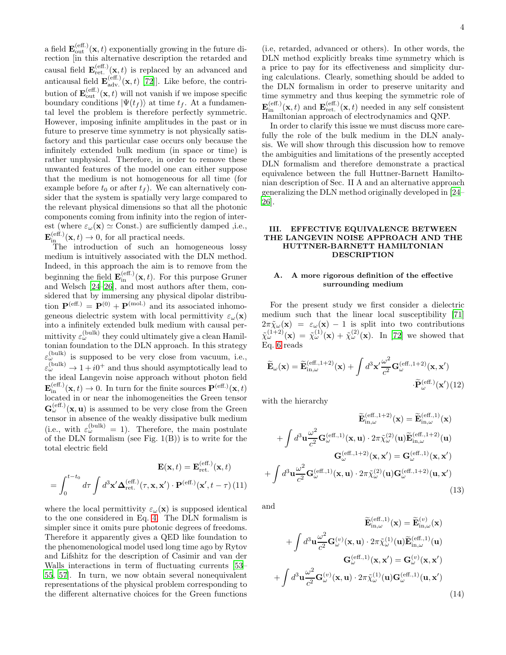a field  $\mathbf{E}_{\text{out}}^{(\text{eff.})}(\mathbf{x}, t)$  exponentially growing in the future direction [in this alternative description the retarded and causal field  $\mathbf{E}_{\text{ret.}}^{(\text{eff.})}(\mathbf{x}, t)$  is replaced by an advanced and anticausal field  $\mathbf{E}_{adv.}^{(eff.)}(\mathbf{x}, t)$  [\[72\]](#page-16-3)]. Like before, the contribution of  $\mathbf{E}_{out}^{(eff.)}(\mathbf{x}, t)$  will not vanish if we impose specific boundary conditions  $|\Psi(t_f)\rangle$  at time  $t_f$ . At a fundamental level the problem is therefore perfectly symmetric. However, imposing infinite amplitudes in the past or in future to preserve time symmetry is not physically satisfactory and this particular case occurs only because the infinitely extended bulk medium (in space or time) is rather unphysical. Therefore, in order to remove these unwanted features of the model one can either suppose that the medium is not homogeneous for all time (for example before  $t_0$  or after  $t_f$ ). We can alternatively consider that the system is spatially very large compared to the relevant physical dimensions so that all the photonic components coming from infinity into the region of interest (where  $\varepsilon_{\omega}(\mathbf{x}) \simeq$  Const.) are sufficiently damped ,i.e.,  $\mathbf{E}_{\text{in}}^{(\text{eff.})}(\mathbf{x},t) \to 0$ , for all practical needs.

The introduction of such an homogeneous lossy medium is intuitively associated with the DLN method. Indeed, in this approach the aim is to remove from the beginning the field  $\mathbf{E}_{\text{in}}^{(\text{eff.})}(\mathbf{x}, t)$ . For this purpose Gruner and Welsch [\[24](#page-15-12)[–26\]](#page-15-13), and most authors after them, considered that by immersing any physical dipolar distribution  $\mathbf{P}^{(\text{eff.})} = \mathbf{P}^{(0)} + \mathbf{P}^{(\text{mol.})}$  and its associated inhomogeneous dielectric system with local permittivity  $\varepsilon_{\omega}(\mathbf{x})$ into a infinitely extended bulk medium with causal permittivity  $\varepsilon_{\omega}^{(\text{bulk})}$  they could ultimately give a clean Hamiltonian foundation to the DLN approach. In this strategy  $\varepsilon_{\omega}^{(\text{bulk})}$  is supposed to be very close from vacuum, i.e.,  $\varepsilon_{\omega}^{(\text{bulk})} \rightarrow 1 + i0^+$  and thus should asymptotically lead to the ideal Langevin noise approach without photon field  $\mathbf{E}_{\text{in}}^{(\text{eff.})}(\mathbf{x},t) \to 0$ . In turn for the finite sources  $\mathbf{P}^{(\text{eff.})}(\mathbf{x},t)$ located in or near the inhomogeneities the Green tensor  $\mathbf{G}_{\omega}^{(\textrm{eff.})}(\mathbf{x}, \mathbf{u})$  is assumed to be very close from the Green tensor in absence of the weakly dissipative bulk medium (i.e., with  $\varepsilon_{\omega}^{(\text{bulk})} = 1$ ). Therefore, the main postulate of the DLN formalism (see Fig.  $1(B)$ ) is to write for the total electric field

<span id="page-3-3"></span>
$$
\mathbf{E}(\mathbf{x},t) = \mathbf{E}_{\text{ret.}}^{(\text{eff.})}(\mathbf{x},t)
$$

$$
= \int_0^{t-t_0} d\tau \int d^3 \mathbf{x}' \mathbf{\Delta}_{\text{ret.}}^{(\text{eff.})}(\tau, \mathbf{x}, \mathbf{x}') \cdot \mathbf{P}^{(\text{eff.})}(\mathbf{x}', t - \tau) (11)
$$

where the local permittivity  $\varepsilon_{\omega}(\mathbf{x})$  is supposed identical to the one considered in Eq. [4.](#page-1-2) The DLN formalism is simpler since it omits pure photonic degrees of freedoms. Therefore it apparently gives a QED like foundation to the phenomenological model used long time ago by Rytov and Lifshitz for the description of Casimir and van der Walls interactions in term of fluctuating currents [\[53](#page-15-22)– [55,](#page-15-28) [57](#page-15-24)]. In turn, we now obtain several nonequivalent representations of the physical problem corresponding to the different alternative choices for the Green functions

(i.e, retarded, advanced or others). In other words, the DLN method explicitly breaks time symmetry which is a price to pay for its effectiveness and simplicity during calculations. Clearly, something should be added to the DLN formalism in order to preserve unitarity and time symmetry and thus keeping the symmetric role of  $\mathbf{E}_{\text{in}}^{(\text{eff.})}(\mathbf{x},t)$  and  $\mathbf{E}_{\text{ret.}}^{(\text{eff.})}(\mathbf{x},t)$  needed in any self consistent Hamiltonian approach of electrodynamics and QNP.

In order to clarify this issue we must discuss more carefully the role of the bulk medium in the DLN analysis. We will show through this discussion how to remove the ambiguities and limitations of the presently accepted DLN formalism and therefore demonstrate a practical equivalence between the full Huttner-Barnett Hamiltonian description of Sec. II A and an alternative approach generalizing the DLN method originally developed in [\[24](#page-15-12)– [26\]](#page-15-13).

# III. EFFECTIVE EQUIVALENCE BETWEEN THE LANGEVIN NOISE APPROACH AND THE HUTTNER-BARNETT HAMILTONIAN DESCRIPTION

# A. A more rigorous definition of the effective surrounding medium

For the present study we first consider a dielectric medium such that the linear local susceptibility [\[71](#page-16-1)]  $2\pi\tilde{\chi}_{\omega}(\mathbf{x}) = \varepsilon_{\omega}(\mathbf{x}) - 1$  is split into two contributions  $\tilde{\chi}^{(1+2)}_{\omega}(\mathbf{x}) = \tilde{\chi}^{(1)}_{\omega}(\mathbf{x}) + \tilde{\chi}^{(2)}_{\omega}(\mathbf{x})$ . In [\[72\]](#page-16-3) we showed that Eq. [6](#page-2-0) reads

<span id="page-3-2"></span>
$$
\widetilde{\mathbf{E}}_{\omega}(\mathbf{x}) = \widetilde{\mathbf{E}}_{\textrm{in},\omega}^{(\textrm{eff.,1+2})}(\mathbf{x}) + \int d^3 \mathbf{x}' \frac{\omega^2}{c^2} \mathbf{G}_{\omega}^{(\textrm{eff.,1+2})}(\mathbf{x}, \mathbf{x}') \cdot \widetilde{\mathbf{P}}_{\omega}^{(\textrm{eff.})}(\mathbf{x}') (12)
$$

with the hierarchy

<span id="page-3-1"></span>
$$
\widetilde{\mathbf{E}}_{\textrm{in},\omega}^{(\textrm{eff.,1+2})}(\mathbf{x}) = \widetilde{\mathbf{E}}_{\textrm{in},\omega}^{(\textrm{eff.,1})}(\mathbf{x}) \n+ \int d^3 \mathbf{u} \frac{\omega^2}{c^2} \mathbf{G}_{\omega}^{(\textrm{eff.,1})}(\mathbf{x}, \mathbf{u}) \cdot 2\pi \tilde{\chi}_{\omega}^{(2)}(\mathbf{u}) \widetilde{\mathbf{E}}_{\textrm{in},\omega}^{(\textrm{eff.,1+2})}(\mathbf{u}) \n\mathbf{G}_{\omega}^{(\textrm{eff.,1+2})}(\mathbf{x}, \mathbf{x}') = \mathbf{G}_{\omega}^{(\textrm{eff.,1})}(\mathbf{x}, \mathbf{x}') \n+ \int d^3 \mathbf{u} \frac{\omega^2}{c^2} \mathbf{G}_{\omega}^{(\textrm{eff.,1})}(\mathbf{x}, \mathbf{u}) \cdot 2\pi \tilde{\chi}_{\omega}^{(2)}(\mathbf{u}) \mathbf{G}_{\omega}^{(\textrm{eff.,1+2})}(\mathbf{u}, \mathbf{x}')
$$
\n(13)

and

<span id="page-3-0"></span>
$$
\widetilde{\mathbf{E}}_{\textrm{in},\omega}^{(\textrm{eff.,1})}(\mathbf{x}) = \widetilde{\mathbf{E}}_{\textrm{in},\omega}^{(v)}(\mathbf{x}) \n+ \int d^3 \mathbf{u} \frac{\omega^2}{c^2} \mathbf{G}_{\omega}^{(v)}(\mathbf{x}, \mathbf{u}) \cdot 2\pi \tilde{\chi}_{\omega}^{(1)}(\mathbf{u}) \widetilde{\mathbf{E}}_{\textrm{in},\omega}^{(\textrm{eff.,1})}(\mathbf{u}) \n\mathbf{G}_{\omega}^{(\textrm{eff.,1})}(\mathbf{x}, \mathbf{x}') = \mathbf{G}_{\omega}^{(v)}(\mathbf{x}, \mathbf{x}') \n+ \int d^3 \mathbf{u} \frac{\omega^2}{c^2} \mathbf{G}_{\omega}^{(v)}(\mathbf{x}, \mathbf{u}) \cdot 2\pi \tilde{\chi}_{\omega}^{(1)}(\mathbf{u}) \mathbf{G}_{\omega}^{(\textrm{eff.,1})}(\mathbf{u}, \mathbf{x}')
$$
\n(14)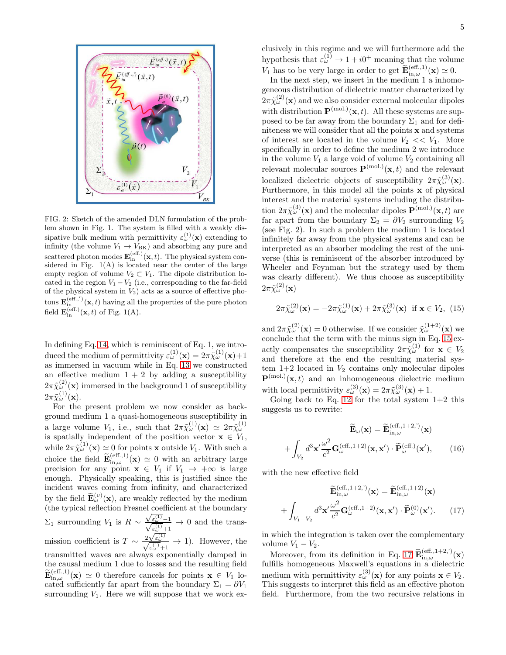

FIG. 2: Sketch of the amended DLN formulation of the problem shown in Fig. 1. The system is filled with a weakly dissipative bulk medium with permittivity  $\varepsilon_{\omega}^{(1)}(\mathbf{x})$  extending to infinity (the volume  $V_1 \rightarrow V_{BK}$ ) and absorbing any pure and scattered photon modes  $\mathbf{E}_{\text{in}}^{(\text{eff.})}(\mathbf{x},t)$ . The physical system considered in Fig. 1(A) is located near the center of the large empty region of volume  $V_2 \subset V_1$ . The dipole distribution located in the region  $V_1 - V_2$  (i.e., corresponding to the far-field of the physical system in  $V_2$ ) acts as a source of effective photons  $\mathbf{E}_{\text{in}}^{(\text{eff.},')}(\mathbf{x},t)$  having all the properties of the pure photon field  $\mathbf{E}_{\text{in}}^{(\text{eff.})}(\mathbf{x},t)$  of Fig. 1(A).

In defining Eq. [14,](#page-3-0) which is reminiscent of Eq. 1, we introduced the medium of permittivity  $\varepsilon_{\omega}^{(1)}(\mathbf{x}) = 2\pi \tilde{\chi}_{\omega}^{(1)}(\mathbf{x}) + 1$ as immersed in vacuum while in Eq. [13](#page-3-1) we constructed an effective medium  $1 + 2$  by adding a susceptibility  $2\pi\tilde{\chi}^{(2)}_{\omega}(\mathbf{x})$  immersed in the background 1 of susceptibility  $2\pi\tilde{\chi}^{(1)}_\omega(\mathbf{x}).$ 

For the present problem we now consider as background medium 1 a quasi-homogeneous susceptibility in a large volume  $V_1$ , i.e., such that  $2\pi \tilde{\chi}^{(1)}_{\omega}(\mathbf{x}) \simeq 2\pi \tilde{\chi}^{(1)}_{\omega}$ <br>is spatially independent of the position vector  $\mathbf{x} \in V_1$ , while  $2\pi\tilde{\chi}^{(1)}_{\omega}(\mathbf{x}) \simeq 0$  for points **x** outside  $V_1$ . With such a choice the field  $\widetilde{\mathbf{E}}_{\textrm{in},\omega}^{(\textrm{eff.,1})}(\mathbf{x}) \simeq 0$  with an arbitrary large precision for any point  $\mathbf{x} \in V_1$  if  $V_1 \to +\infty$  is large enough. Physically speaking, this is justified since the incident waves coming from infinity, and characterized by the field  $\widetilde{\mathbf{E}}_{\omega}^{(v)}(\mathbf{x})$ , are weakly reflected by the medium (the typical reflection Fresnel coefficient at the boundary  $\Sigma_1$  surrounding  $V_1$  is  $R \sim$  $\frac{\sqrt{\varepsilon_{\omega}^{(1)}}-1}{\sqrt{\varepsilon_{\omega}^{(1)}+1}} \to 0$  and the transmission coefficient is  $T \sim \frac{2\sqrt{\varepsilon_{\omega}^{(1)}}}{\sqrt{\varepsilon_{\omega}^{(1)}}+1} \to 1$ ). However, the transmitted waves are always exponentially damped in the causal medium 1 due to losses and the resulting field  $\widetilde{\mathbf{E}}_{\text{in},\omega}^{(\text{eff.,1})}(\mathbf{x}) \simeq 0$  therefore cancels for points  $\mathbf{x} \in V_1$  located sufficiently far apart from the boundary  $\Sigma_1 = \partial V_1$ surrounding  $V_1$ . Here we will suppose that we work exclusively in this regime and we will furthermore add the hypothesis that  $\varepsilon_{\omega}^{(1)} \to 1 + i0^+$  meaning that the volume  $V_1$  has to be very large in order to get  $\widetilde{\mathbf{E}}_{\text{in},\omega}^{(\text{eff.,1})}(\mathbf{x}) \simeq 0.$ 

In the next step, we insert in the medium 1 a inhomogeneous distribution of dielectric matter characterized by  $2\pi\tilde{\chi}^{(2)}_\omega(\mathbf{x})$  and we also consider external molecular dipoles with distribution  $\mathbf{P}^{(mol.)}(\mathbf{x}, t)$ . All these systems are supposed to be far away from the boundary  $\Sigma_1$  and for definiteness we will consider that all the points x and systems of interest are located in the volume  $V_2 \ll V_1$ . More specifically in order to define the medium 2 we introduce in the volume  $V_1$  a large void of volume  $V_2$  containing all relevant molecular sources  $\mathbf{P}^{(mol.)}(\mathbf{x},t)$  and the relevant localized dielectric objects of susceptibility  $2\pi\tilde{\chi}^{(3)}_{\omega}(\mathbf{x})$ . Furthermore, in this model all the points x of physical interest and the material systems including the distribution  $2\pi\tilde{\chi}^{(3)}_{\omega}(\mathbf{x})$  and the molecular dipoles  $\mathbf{P}^{(\text{mol.})}(\mathbf{x},t)$  are far apart from the boundary  $\Sigma_2 = \partial V_2$  surrounding  $V_2$ (see Fig. 2). In such a problem the medium 1 is located infinitely far away from the physical systems and can be interpreted as an absorber modeling the rest of the universe (this is reminiscent of the absorber introduced by Wheeler and Feynman but the strategy used by them was clearly different). We thus choose as susceptibility  $2\pi\tilde{\chi}^{(2)}_\omega(\mathbf{x})$ 

<span id="page-4-0"></span>
$$
2\pi\tilde{\chi}^{(2)}_{\omega}(\mathbf{x}) = -2\pi\tilde{\chi}^{(1)}_{\omega}(\mathbf{x}) + 2\pi\tilde{\chi}^{(3)}_{\omega}(\mathbf{x}) \text{ if } \mathbf{x} \in V_2, (15)
$$

and  $2\pi\tilde{\chi}^{(2)}_{\omega}(\mathbf{x})=0$  otherwise. If we consider  $\tilde{\chi}^{(1+2)}_{\omega}(\mathbf{x})$  we conclude that the term with the minus sign in Eq. [15](#page-4-0) exactly compensates the susceptibility  $2\pi\tilde{\chi}^{(1)}_{\omega}$  for  $\mathbf{x} \in V_2$ and therefore at the end the resulting material system  $1+2$  located in  $V_2$  contains only molecular dipoles  $\mathbf{P}^{(mol.)}(\mathbf{x},t)$  and an inhomogeneous dielectric medium with local permittivity  $\varepsilon_{\omega}^{(3)}(\mathbf{x}) = 2\pi \tilde{\chi}_{\omega}^{(3)}(\mathbf{x}) + 1.$ 

Going back to Eq. [12](#page-3-2) for the total system  $1+2$  this suggests us to rewrite:

<span id="page-4-2"></span>
$$
\widetilde{\mathbf{E}}_{\omega}(\mathbf{x}) = \widetilde{\mathbf{E}}_{\text{in},\omega}^{(\text{eff.,1+2,'})}(\mathbf{x}) + \int_{V_2} d^3 \mathbf{x}' \frac{\omega^2}{c^2} \mathbf{G}_{\omega}^{(\text{eff.,1+2})}(\mathbf{x}, \mathbf{x}') \cdot \widetilde{\mathbf{P}}_{\omega}^{(\text{eff.,1+2,'})}(\mathbf{x}'), \qquad (16)
$$

with the new effective field

<span id="page-4-1"></span>
$$
\widetilde{\mathbf{E}}_{\text{in},\omega}^{(\text{eff.,1+2,'})}(\mathbf{x}) = \widetilde{\mathbf{E}}_{\text{in},\omega}^{(\text{eff.,1+2})}(\mathbf{x}) + \int_{V_1 - V_2} d^3 \mathbf{x}' \frac{\omega^2}{c^2} \mathbf{G}_{\omega}^{(\text{eff.,1+2})}(\mathbf{x}, \mathbf{x}') \cdot \widetilde{\mathbf{P}}_{\omega}^{(0)}(\mathbf{x}'). \tag{17}
$$

in which the integration is taken over the complementary volume  $V_1 - V_2$ .

Moreover, from its definition in Eq. [17](#page-4-1)  $\widetilde{\mathbf{E}}_{\text{in},\omega}^{(\text{eff.,1+2,'})}(\mathbf{x})$ fulfills homogeneous Maxwell's equations in a dielectric medium with permittivity  $\varepsilon_{\omega}^{(3)}(\mathbf{x})$  for any points  $\mathbf{x} \in V_2$ . This suggests to interpret this field as an effective photon field. Furthermore, from the two recursive relations in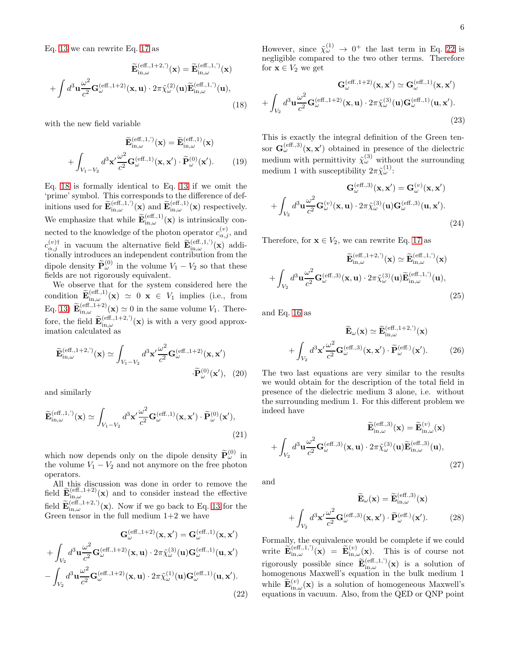Eq. [13](#page-3-1) we can rewrite Eq. [17](#page-4-1) as

<span id="page-5-0"></span>
$$
\widetilde{\mathbf{E}}_{\textrm{in},\omega}^{(\textrm{eff.,1+2,'})}(\mathbf{x}) = \widetilde{\mathbf{E}}_{\textrm{in},\omega}^{(\textrm{eff.,1,'})}(\mathbf{x}) + \int d^3 \mathbf{u} \frac{\omega^2}{c^2} \mathbf{G}_{\omega}^{(\textrm{eff.,1+2})}(\mathbf{x}, \mathbf{u}) \cdot 2\pi \widetilde{\chi}_{\omega}^{(2)}(\mathbf{u}) \widetilde{\mathbf{E}}_{\textrm{in},\omega}^{(\textrm{eff.,1,'})}(\mathbf{u}),
$$
\n(18)

with the new field variable

$$
\widetilde{\mathbf{E}}_{\textrm{in},\omega}^{(\textrm{eff.,1,'})}(\mathbf{x}) = \widetilde{\mathbf{E}}_{\textrm{in},\omega}^{(\textrm{eff.,1})}(\mathbf{x}) + \int_{V_1 - V_2} d^3 \mathbf{x}' \frac{\omega^2}{c^2} \mathbf{G}_{\omega}^{(\textrm{eff.,1})}(\mathbf{x}, \mathbf{x}') \cdot \widetilde{\mathbf{P}}_{\omega}^{(0)}(\mathbf{x}'). \tag{19}
$$

Eq. [18](#page-5-0) is formally identical to Eq. [13](#page-3-1) if we omit the 'prime' symbol. This corresponds to the difference of definitions used for  $\widetilde{\mathbf{E}}_{\textrm{in},\omega}^{(\textrm{eff.,1,'})}(\mathbf{x})$  and  $\widetilde{\mathbf{E}}_{\textrm{in},\omega}^{(\textrm{eff.,1})}(\mathbf{x})$  respectively. We emphasize that while  $\widetilde{\mathbf{E}}_{\textrm{in},\omega}^{(\textrm{eff.,1})}(\mathbf{x})$  is intrinsically connected to the knowledge of the photon operator  $c_{\alpha,j}^{(v)}$ , and  $c_{\alpha,j}^{(v)\dagger}$  in vacuum the alternative field  $\widetilde{\mathbf{E}}_{\text{in},\omega}^{(\text{eff.,1,'})}(\mathbf{x})$  additionally introduces an independent contribution from the dipole density  $\widetilde{\mathbf{P}}_{\omega}^{(0)}$  in the volume  $V_1 - V_2$  so that these fields are not rigorously equivalent.

We observe that for the system considered here the condition  $\widetilde{\mathbf{E}}_{\text{in},\omega}^{(\text{eff.,1})}(\mathbf{x}) \simeq 0 \mathbf{x} \in V_1$  implies (i.e., from Eq. [13\)](#page-3-1)  $\widetilde{\mathbf{E}}_{\text{in},\omega}^{(\text{eff.,1+2})}(\mathbf{x}) \simeq 0$  in the same volume  $V_1$ . Therefore, the field  $\widetilde{\mathbf{E}}_{\textrm{in},\omega}^{(\textrm{eff.,1+2,'})}(\mathbf{x})$  is with a very good approximation calculated as

<span id="page-5-5"></span>
$$
\widetilde{\mathbf{E}}_{\textrm{in},\omega}^{(\textrm{eff.,1+2,'})}(\mathbf{x}) \simeq \int_{V_1 - V_2} d^3 \mathbf{x}' \frac{\omega^2}{c^2} \mathbf{G}_{\omega}^{(\textrm{eff.,1+2})}(\mathbf{x}, \mathbf{x}')
$$
\n
$$
\cdot \widetilde{\mathbf{P}}_{\omega}^{(0)}(\mathbf{x}'), \quad (20)
$$

and similarly

<span id="page-5-2"></span>
$$
\widetilde{\mathbf{E}}_{\textrm{in},\omega}^{(\textrm{eff.,1,'})}(\mathbf{x}) \simeq \int_{V_1 - V_2} d^3 \mathbf{x}' \frac{\omega^2}{c^2} \mathbf{G}_{\omega}^{(\textrm{eff.,1})}(\mathbf{x}, \mathbf{x}') \cdot \widetilde{\mathbf{P}}_{\omega}^{(0)}(\mathbf{x}'),
$$
\n(21)

which now depends only on the dipole density  $\widetilde{\mathbf{P}}_{\omega}^{(0)}$  in the volume  $V_1 - V_2$  and not anymore on the free photon operators.

All this discussion was done in order to remove the field  $\widetilde{\mathbf{E}}_{\textrm{in},\omega}^{(\textrm{eff.,1+2})}(\mathbf{x})$  and to consider instead the effective field  $\widetilde{\mathbf{E}}_{\textrm{in},\omega}^{(\textrm{eff.,1+2,'})}(\mathbf{x})$ . Now if we go back to Eq. [13](#page-3-1) for the Green tensor in the full medium  $1+2$  we have

<span id="page-5-1"></span>
$$
\mathbf{G}_{\omega}^{(\text{eff.,1+2})}(\mathbf{x}, \mathbf{x}') = \mathbf{G}_{\omega}^{(\text{eff.,1})}(\mathbf{x}, \mathbf{x}')
$$

$$
+ \int_{V_2} d^3 \mathbf{u} \frac{\omega^2}{c^2} \mathbf{G}_{\omega}^{(\text{eff.,1+2})}(\mathbf{x}, \mathbf{u}) \cdot 2\pi \tilde{\chi}_{\omega}^{(3)}(\mathbf{u}) \mathbf{G}_{\omega}^{(\text{eff.,1})}(\mathbf{u}, \mathbf{x}')
$$

$$
- \int_{V_2} d^3 \mathbf{u} \frac{\omega^2}{c^2} \mathbf{G}_{\omega}^{(\text{eff.,1+2})}(\mathbf{x}, \mathbf{u}) \cdot 2\pi \tilde{\chi}_{\omega}^{(1)}(\mathbf{u}) \mathbf{G}_{\omega}^{(\text{eff.,1})}(\mathbf{u}, \mathbf{x}').
$$
(22)

However, since  $\tilde{\chi}^{(1)}_{\omega} \rightarrow 0^{+}$  the last term in Eq. [22](#page-5-1) is negligible compared to the two other terms. Therefore for  $\mathbf{x} \in V_2$  we get

$$
\mathbf{G}_{\omega}^{(\text{eff.,1+2})}(\mathbf{x}, \mathbf{x}') \simeq \mathbf{G}_{\omega}^{(\text{eff.,1})}(\mathbf{x}, \mathbf{x}')
$$

$$
+ \int_{V_2} d^3 \mathbf{u} \frac{\omega^2}{c^2} \mathbf{G}_{\omega}^{(\text{eff.,1+2})}(\mathbf{x}, \mathbf{u}) \cdot 2\pi \tilde{\chi}_{\omega}^{(3)}(\mathbf{u}) \mathbf{G}_{\omega}^{(\text{eff.,1})}(\mathbf{u}, \mathbf{x}').
$$
(23)

This is exactly the integral definition of the Green tensor  $\mathbf{G}_{\omega}^{(\text{eff.,3})}(\mathbf{x}, \mathbf{x}')$  obtained in presence of the dielectric medium with permittivity  $\tilde{\chi}^{(3)}_{\omega}$  without the surrounding medium 1 with susceptibility  $2\pi \tilde{\chi}^{(1)}_{\omega}$ :

$$
\mathbf{G}_{\omega}^{(\text{eff.,3})}(\mathbf{x}, \mathbf{x}') = \mathbf{G}_{\omega}^{(v)}(\mathbf{x}, \mathbf{x}')
$$

$$
+ \int_{V_2} d^3 \mathbf{u} \frac{\omega^2}{c^2} \mathbf{G}_{\omega}^{(v)}(\mathbf{x}, \mathbf{u}) \cdot 2\pi \tilde{\chi}_{\omega}^{(3)}(\mathbf{u}) \mathbf{G}_{\omega}^{(\text{eff.,3})}(\mathbf{u}, \mathbf{x}').
$$
(24)

Therefore, for  $\mathbf{x} \in V_2$ , we can rewrite Eq. [17](#page-4-1) as

<span id="page-5-3"></span>
$$
\widetilde{\mathbf{E}}_{\textrm{in},\omega}^{(\textrm{eff.,1+2,'})}(\mathbf{x}) \simeq \widetilde{\mathbf{E}}_{\textrm{in},\omega}^{(\textrm{eff.,1,'})}(\mathbf{x}) \n+ \int_{V_2} d^3 \mathbf{u} \frac{\omega^2}{c^2} \mathbf{G}_{\omega}^{(\textrm{eff.,3})}(\mathbf{x}, \mathbf{u}) \cdot 2\pi \tilde{\chi}_{\omega}^{(3)}(\mathbf{u}) \widetilde{\mathbf{E}}_{\textrm{in},\omega}^{(\textrm{eff.,1,'})}(\mathbf{u}),
$$
\n(25)

and Eq. [16](#page-4-2) as

$$
\widetilde{\mathbf{E}}_{\omega}(\mathbf{x}) \simeq \widetilde{\mathbf{E}}_{\text{in},\omega}^{(\text{eff.,1+2,'})}(\mathbf{x}) + \int_{V_2} d^3 \mathbf{x}' \frac{\omega^2}{c^2} \mathbf{G}_{\omega}^{(\text{eff.,3})}(\mathbf{x}, \mathbf{x}') \cdot \widetilde{\mathbf{P}}_{\omega}^{(\text{eff.})}(\mathbf{x}'). \tag{26}
$$

The two last equations are very similar to the results we would obtain for the description of the total field in presence of the dielectric medium 3 alone, i.e. without the surrounding medium 1. For this different problem we indeed have

$$
\widetilde{\mathbf{E}}_{\textrm{in},\omega}^{(\textrm{eff.,3})}(\mathbf{x}) = \widetilde{\mathbf{E}}_{\textrm{in},\omega}^{(v)}(\mathbf{x}) + \int_{V_2} d^3 \mathbf{u} \frac{\omega^2}{c^2} \mathbf{G}_{\omega}^{(\textrm{eff.,3})}(\mathbf{x}, \mathbf{u}) \cdot 2\pi \widetilde{\chi}_{\omega}^{(3)}(\mathbf{u}) \widetilde{\mathbf{E}}_{\textrm{in},\omega}^{(\textrm{eff.,3})}(\mathbf{u}),
$$
\n(27)

and

$$
\mathbf{E}_{\omega}(\mathbf{x}) = \mathbf{E}_{\text{in},\omega}^{(\text{eff.,3})}(\mathbf{x}) + \int_{V_2} d^3 \mathbf{x}' \frac{\omega^2}{c^2} \mathbf{G}_{\omega}^{(\text{eff.,3})}(\mathbf{x}, \mathbf{x}') \cdot \widetilde{\mathbf{P}}_{\omega}^{(\text{eff.})}(\mathbf{x}'). \tag{28}
$$

<span id="page-5-6"></span><span id="page-5-4"></span> $\sim$  ( $_{\text{eff}}$   $\cdot$  3)  $\cdot$ 

Formally, the equivalence would be complete if we could write  $\widetilde{\mathbf{E}}_{\textrm{in},\omega}^{(\textrm{eff.,1,'})}(\mathbf{x}) = \widetilde{\mathbf{E}}_{\textrm{in},\omega}^{(v)}(\mathbf{x})$ . This is of course not rigorously possible since  $\widetilde{\mathbf{E}}_{\text{in},\omega}^{(\text{eff.,1,'})}(\mathbf{x})$  is a solution of homogenous Maxwell's equation in the bulk medium 1 while  $\widetilde{\mathbf{E}}_{\text{in},\omega}^{(v)}(\mathbf{x})$  is a solution of homogeneous Maxwell's equations in vacuum. Also, from the QED or QNP point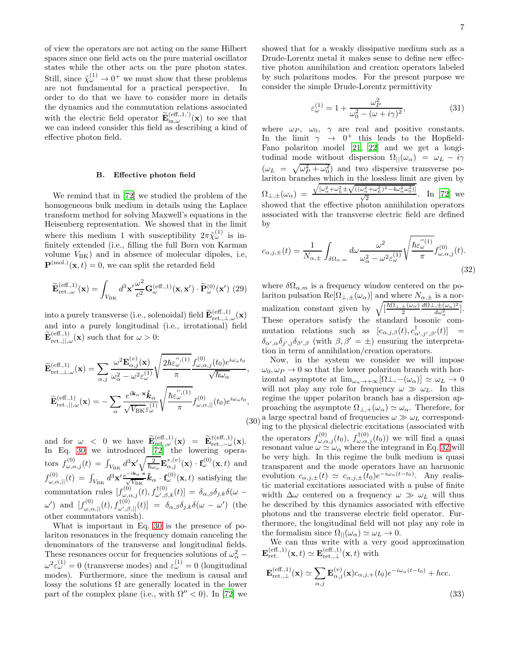of view the operators are not acting on the same Hilbert spaces since one field acts on the pure material oscillator states while the other acts on the pure photon states. Still, since  $\tilde{\chi}^{(1)}_{\omega} \rightarrow 0^{+}$  we must show that these problems are not fundamental for a practical perspective. In order to do that we have to consider more in details the dynamics and the commutation relations associated with the electric field operator  $\widetilde{\mathbf{E}}_{\textrm{in},\omega}^{(\textrm{eff.,1,'})}(\mathbf{x})$  to see that we can indeed consider this field as describing a kind of effective photon field.

#### B. Effective photon field

We remind that in [\[72\]](#page-16-3) we studied the problem of the homogeneous bulk medium in details using the Laplace transform method for solving Maxwell's equations in the Heisenberg representation. We showed that in the limit where this medium 1 with susceptibility  $2\pi\tilde{\chi}^{(1)}_{\omega}$  is infinitely extended (i.e., filling the full Born von Karman volume  $V_{\text{BK}}$ ) and in absence of molecular dipoles, i.e,  $\mathbf{P}^{(mol.)}(\mathbf{x},t) = 0$ , we can split the retarded field

<span id="page-6-2"></span>
$$
\widetilde{\mathbf{E}}_{\textrm{ret.},\omega}^{(\textrm{eff.,1})}(\mathbf{x}) = \int_{V_{\textrm{BK}}} d^3 \mathbf{x}' \frac{\omega^2}{c^2} \mathbf{G}_{\omega}^{(\textrm{eff.,1})}(\mathbf{x}, \mathbf{x}') \cdot \widetilde{\mathbf{P}}_{\omega}^{(0)}(\mathbf{x}') \tag{29}
$$

into a purely transverse (i.e., solenoidal) field  $\widetilde{\mathbf{E}}_{\textrm{ret.},\perp,\omega}^{(\textrm{eff.,1})}(\mathbf{x})$ and into a purely longitudinal (i.e., irrotational) field  $\widetilde{\mathbf{E}}_{\textrm{ret.},||,\omega}^{(\textrm{eff.,1})}(\mathbf{x})$  such that for  $\omega > 0$ :

<span id="page-6-0"></span>
$$
\widetilde{\mathbf{E}}_{\text{ret.},\perp,\omega}^{(\text{eff.,1})}(\mathbf{x}) = \sum_{\alpha,j} \frac{\omega^2 \mathbf{E}_{\alpha,j}^{(v)}(\mathbf{x})}{\omega_{\alpha}^2 - \omega^2 \varepsilon_{\omega}^{(1)}} \sqrt{\frac{2\hbar \varepsilon_{\omega}^{'',(1)}}{\pi}} \frac{f_{\omega,\alpha,j}^{(0)}(t_0) e^{i\omega_{\alpha}t_0}}{\sqrt{\hbar \omega_{\alpha}}},
$$
\n
$$
\widetilde{\mathbf{E}}_{\text{ret.},||,\omega}^{(\text{eff.,1})}(\mathbf{x}) = -\sum_{\alpha} \frac{e^{i\mathbf{k}_{\alpha} \cdot \mathbf{x}} \hat{\mathbf{k}}_{\alpha}}{\sqrt{\text{V}_{\text{BK}}}\varepsilon_{\omega}^{(1)}} \sqrt{\frac{\hbar \varepsilon_{\omega}^{'',(1)}}{\pi}} f_{\omega,\alpha,||}^{(0)}(t_0) e^{i\omega_{\alpha}t_0},
$$
\n(30)

and for  $\omega < 0$  we have  $\widetilde{\mathbf{E}}_{\textrm{ret.},\omega}^{(\textrm{eff.,1})}(\mathbf{x}) = \widetilde{\mathbf{E}}_{\textrm{ret.},-\omega}^{(\textrm{eff.,1})}(\mathbf{x}).$ In Eq. [30](#page-6-0) we introduced [\[72](#page-16-3)] the lowering operators  $f_{\omega,\alpha,j}^{(0)}(t) = \int_{V_{\rm BK}} d^3 \mathbf{x}' \sqrt{\frac{2}{\hbar \omega_{\alpha}}}\mathbf{E}_{\alpha,j}^{*,(v)}(\mathbf{x}) \cdot \mathbf{f}_{\omega}^{(0)}(\mathbf{x},t)$  and  $f_{\omega,\alpha,||}^{(0)}(t) = \int_{V_{\rm BK}} d^3 \mathbf{x}' \frac{e^{-i\mathbf{k}_{\alpha} \cdot \mathbf{x}}}{\sqrt{V_{\rm BK}}} \hat{\mathbf{k}}_{\alpha} \cdot \mathbf{f}_{\omega}^{(0)}(\mathbf{x},t)$  satisfying the commutation rules  $[f^{(0)}_{\omega,\alpha,j}(t), f^{\dagger(0)}_{\omega',\beta,k}(t)] = \delta_{\alpha,\beta}\delta_{j,k}\delta(\omega \omega'$ ) and  $[f^{(0)}_{\omega,\alpha,||}(t),f^{(0)}_{\omega',\beta,||}(t)] = \delta_{\alpha,\beta}\delta_{j,k}\delta(\omega-\omega')$  (the other commutators vanish).

What is important in Eq. [30](#page-6-0) is the presence of polariton resonances in the frequency domain canceling the denominators of the transverse and longitudinal fields. These resonances occur for frequencies solutions of  $\omega_{\alpha}^2$  –  $\omega^2 \varepsilon_{\omega}^{(1)} = 0$  (transverse modes) and  $\varepsilon_{\omega}^{(1)} = 0$  (longitudinal modes). Furthermore, since the medium is causal and lossy the solutions  $\Omega$  are generally located in the lower part of the complex plane (i.e., with  $\Omega'' < 0$ ). In [\[72\]](#page-16-3) we showed that for a weakly dissipative medium such as a Drude-Lorentz metal it makes sense to define new effective photon annihilation and creation operators labeled by such polaritons modes. For the present purpose we consider the simple Drude-Lorentz permittivity

$$
\varepsilon_{\omega}^{(1)} = 1 + \frac{\omega_P^2}{\omega_0^2 - (\omega + i\gamma)^2},\tag{31}
$$

where  $\omega_P$ ,  $\omega_0$ ,  $\gamma$  are real and positive constants. In the limit  $\gamma \rightarrow 0^+$  this leads to the Hopfield-Fano polariton model [\[21,](#page-15-10) [22](#page-15-29)] and we get a longitudinal mode without dispersion  $\Omega_{\parallel}(\omega_{\alpha}) = \omega_L - i\gamma$  $(\omega_L = \sqrt{\omega_P^2 + \omega_0^2})$  and two dispersive transverse polariton branches which in the lossless limit are given by  $\Omega_{\perp,\pm}(\omega_\alpha) = \frac{\sqrt{[\omega_\alpha^2 + \omega_L^2 \pm \sqrt{((\omega_\alpha^2 + \omega_L^2)^2 - 4\omega_\alpha^2 \omega_0^2)}]}}{\sqrt{2}}$ . In [\[72](#page-16-3)] we showed that the effective photon annihilation operators associated with the transverse electric field are defined by

<span id="page-6-1"></span>
$$
c_{\alpha,j,\pm}(t) = \frac{1}{N_{\alpha,\pm}} \int_{\delta\Omega_{\alpha,m}} d\omega \frac{\omega^2}{\omega_{\alpha}^2 - \omega^2 \varepsilon_{\omega}^{(1)}} \sqrt{\frac{\hbar \varepsilon_{\omega}^{''(1)}}{\pi}} f_{\omega,\alpha,j}^{(0)}(t). \tag{32}
$$

where  $\delta\Omega_{\alpha,m}$  is a frequency window centered on the polariton pulsation  $\text{Re}[\Omega_{\perp,\pm}(\omega_\alpha)]$  and where  $N_{\alpha,\pm}$  is a normalization constant given by  $\sqrt{\frac{\hbar\Omega_{\perp,\pm}(\omega_{\alpha})}{2}}$  $\frac{\pm(\omega_\alpha)}{2} \frac{d\Omega\bot,\pm(\omega_\alpha)^2}{d\omega_\alpha^2}$  $\frac{\partial \pm (\omega_\alpha)^2}{\partial \omega_\alpha^2}$ . These operators satisfy the standard bosonic commutation relations such as  $[c_{\alpha,j,\beta}(t), c^{\dagger}_{\alpha',j',\beta'}(t)] =$  $\delta_{\alpha',\alpha}\delta_{j',j}\delta_{\beta',\beta}$  (with  $\beta,\beta'=\pm$ ) ensuring the interpretation in term of annihilation/creation operators.

Now, in the system we consider we will impose  $\omega_0, \omega_P \to 0$  so that the lower polariton branch with horizontal asymptote at  $\lim_{\omega_{\alpha}\to+\infty}[\Omega_{\perp},-(\omega_{\alpha})] \simeq \omega_L \to 0$ will not play any role for frequency  $\omega \gg \omega_L$ . In this regime the upper polariton branch has a dispersion approaching the asymptote  $\Omega_{\perp,+}(\omega_{\alpha}) \simeq \omega_{\alpha}$ . Therefore, for a large spectral band of frequencies  $\omega \gg \omega_L$  corresponding to the physical dielectric excitations (associated with the operators  $f^{(0)}_{\omega,\alpha,j}(t_0)$ ,  $f^{(0)}_{\omega,\alpha,j}(t_0)$  we will find a quasi resonant value  $\omega \simeq \omega_{\alpha}$  where the integrand in Eq. [32](#page-6-1) will be very high. In this regime the bulk medium is quasi transparent and the mode operators have an harmonic evolution  $c_{\alpha,j,\pm}(t) \simeq c_{\alpha,j,\pm}(t_0) e^{-i\omega_\alpha(t-t_0)}$ . Any realistic material excitations associated with a pulse of finite width  $\Delta\omega$  centered on a frequency  $\omega \gg \omega_L$  will thus be described by this dynamics associated with effective photons and the transverse electric field operator. Furthermore, the longitudinal field will not play any role in the formalism since  $\Omega_{\parallel}(\omega_{\alpha}) \simeq \omega_L \to 0$ .

We can thus write with a very good approximation  $\mathbf{E}_{\text{ret.}}^{(\text{eff.,1})}(\mathbf{x},t) \simeq \mathbf{E}_{\text{ret.},\perp}^{(\text{eff.,1})}(\mathbf{x},t)$  with

$$
\mathbf{E}_{\text{ret.},\perp}^{(\text{eff.,1})}(\mathbf{x}) \simeq \sum_{\alpha,j} \mathbf{E}_{\alpha,j}^{(v)}(\mathbf{x}) c_{\alpha,j,+}(t_0) e^{-i\omega_{\alpha}(t-t_0)} + hcc.
$$
\n(33)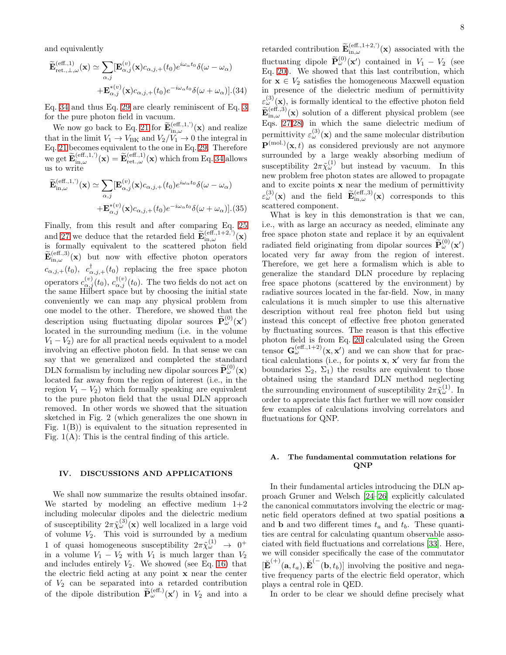and equivalently

<span id="page-7-0"></span>
$$
\widetilde{\mathbf{E}}_{\textrm{ret.},\perp,\omega}^{(\textrm{eff.,1})}(\mathbf{x}) \simeq \sum_{\alpha,j} [\mathbf{E}_{\alpha,j}^{(v)}(\mathbf{x}) c_{\alpha,j,+}(t_0) e^{i\omega_{\alpha}t_0} \delta(\omega - \omega_{\alpha}) \n+ \mathbf{E}_{\alpha,j}^{*(v)}(\mathbf{x}) c_{\alpha,j,+}(t_0) e^{-i\omega_{\alpha}t_0} \delta(\omega + \omega_{\alpha})].(34)
$$

Eq. [34](#page-7-0) and thus Eq. [29](#page-6-2) are clearly reminiscent of Eq. [3](#page-1-1) for the pure photon field in vacuum.

We now go back to Eq. [21](#page-5-2) for  $\widetilde{\mathbf{E}}_{\textrm{in},\omega}^{(\textrm{eff.,1,'})}(\mathbf{x})$  and realize that in the limit  $V_1 \rightarrow V_{BK}$  and  $V_2/V_1 \rightarrow 0$  the integral in Eq. [21](#page-5-2) becomes equivalent to the one in Eq. [29.](#page-6-2) Therefore we get  $\widetilde{\mathbf{E}}_{\textrm{in},\omega}^{(\textrm{eff.,1,'})}(\mathbf{x}) = \widetilde{\mathbf{E}}_{\textrm{ret.},\omega}^{(\textrm{eff.,1})}(\mathbf{x})$  which from Eq. [34](#page-7-0) allows us to write

$$
\widetilde{\mathbf{E}}_{\textrm{in},\omega}^{(\textrm{eff.,1,'})}(\mathbf{x}) \simeq \sum_{\alpha,j} [\mathbf{E}_{\alpha,j}^{(v)}(\mathbf{x}) c_{\alpha,j,+}(t_0) e^{i\omega_{\alpha} t_0} \delta(\omega - \omega_{\alpha}) \n+ \mathbf{E}_{\alpha,j}^{*(v)}(\mathbf{x}) c_{\alpha,j,+}(t_0) e^{-i\omega_{\alpha} t_0} \delta(\omega + \omega_{\alpha})].(35)
$$

Finally, from this result and after comparing Eq. [25](#page-5-3) and [27](#page-5-4) we deduce that the retarded field  $\widetilde{\mathbf{E}}_{\text{in},\omega}^{(\text{eff.,1+2,'})}(\mathbf{x})$ is formally equivalent to the scattered photon field  $\widetilde{\mathbf{E}}_{\textrm{in},\omega}^{(\textrm{eff.,3})}(\mathbf{x})$  but now with effective photon operators  $(c_{\alpha,j,+}(t_0), c_{\alpha,j,+}^{\dagger}(t_0))$  replacing the free space photon operators  $c_{\alpha,j}^{(v)}(t_0)$ ,  $c_{\alpha,j}^{\dagger(v)}(t_0)$ . The two fields do not act on the same Hilbert space but by choosing the initial state conveniently we can map any physical problem from one model to the other. Therefore, we showed that the description using fluctuating dipolar sources  $\tilde{\mathbf{P}}_{\omega}^{(0)}(\mathbf{x}')$ located in the surrounding medium (i.e. in the volume  $V_1 - V_2$ ) are for all practical needs equivalent to a model involving an effective photon field. In that sense we can say that we generalized and completed the standard DLN formalism by including new dipolar sources  $\widetilde{\mathbf{P}}_{\omega}^{(0)}(\mathbf{x})$ located far away from the region of interest (i.e., in the region  $V_1 - V_2$ ) which formally speaking are equivalent to the pure photon field that the usual DLN approach removed. In other words we showed that the situation sketched in Fig. 2 (which generalizes the one shown in Fig.  $1(B)$ ) is equivalent to the situation represented in Fig.  $1(A)$ : This is the central finding of this article.

# IV. DISCUSSIONS AND APPLICATIONS

We shall now summarize the results obtained insofar. We started by modeling an effective medium  $1+2$ including molecular dipoles and the dielectric medium of susceptibility  $2\pi\tilde{\chi}^{(3)}_{\omega}(\mathbf{x})$  well localized in a large void of volume  $V_2$ . This void is surrounded by a medium 1 of quasi homogeneous susceptibility  $2\pi\tilde{\chi}^{(1)}_{\omega} \rightarrow 0^{+}$ in a volume  $V_1 - V_2$  with  $V_1$  is much larger than  $V_2$ and includes entirely  $V_2$ . We showed (see Eq. [16\)](#page-4-2) that the electric field acting at any point x near the center of  $V_2$  can be separated into a retarded contribution of the dipole distribution  $\tilde{\mathbf{P}}_{\omega}^{(\text{eff.})}(\mathbf{x}')$  in  $V_2$  and into a

retarded contribution  $\widetilde{\mathbf{E}}_{\textrm{in},\omega}^{(\textrm{eff.,1+2,'})}(\mathbf{x})$  associated with the fluctuating dipole  $\widetilde{\mathbf{P}}_{\omega}^{(0)}(\mathbf{x}')$  contained in  $V_1 - V_2$  (see Eq. [20\)](#page-5-5). We showed that this last contribution, which for  $x \in V_2$  satisfies the homogeneous Maxwell equation in presence of the dielectric medium of permittivity  $\varepsilon_{\omega}^{(3)}(\mathbf{x})$ , is formally identical to the effective photon field  $\widetilde{\mathbf{E}}_{\textrm{in},\omega}^{(\textrm{eff.,3})}(\mathbf{x})$  solution of a different physical problem (see Eqs. [27,](#page-5-4)[28\)](#page-5-6) in which the same dielectric medium of permittivity  $\varepsilon_{\omega}^{(3)}(\mathbf{x})$  and the same molecular distribution  $\mathbf{P}^{(mol.)}(\mathbf{x},t)$  as considered previously are not anymore surrounded by a large weakly absorbing medium of susceptibility  $2\pi\tilde{\chi}^{(1)}_{\omega}$  but instead by vacuum. In this new problem free photon states are allowed to propagate and to excite points  $x$  near the medium of permittivity  $\varepsilon_{\omega}^{(3)}(\mathbf{x})$  and the field  $\widetilde{\mathbf{E}}_{\textrm{in},\omega}^{(\textrm{eff.,3})}(\mathbf{x})$  corresponds to this scattered component.

What is key in this demonstration is that we can, i.e., with as large an accuracy as needed, eliminate any free space photon state and replace it by an equivalent radiated field originating from dipolar sources  $\tilde{\mathbf{P}}_{\omega}^{(0)}(\mathbf{x}')$ located very far away from the region of interest. Therefore, we get here a formalism which is able to generalize the standard DLN procedure by replacing free space photons (scattered by the environment) by radiative sources located in the far-field. Now, in many calculations it is much simpler to use this alternative description without real free photon field but using instead this concept of effective free photon generated by fluctuating sources. The reason is that this effective photon field is from Eq. [20](#page-5-5) calculated using the Green tensor  $\mathbf{G}_{\omega}^{(\text{eff.,1+2})}(\mathbf{x}, \mathbf{x}')$  and we can show that for practical calculations (i.e., for points x, x ′ very far from the boundaries  $\Sigma_2$ ,  $\Sigma_1$ ) the results are equivalent to those obtained using the standard DLN method neglecting the surrounding environment of susceptibility  $2\pi\tilde{\chi}^{(1)}_{\omega}$ . In order to appreciate this fact further we will now consider few examples of calculations involving correlators and fluctuations for QNP.

# A. The fundamental commutation relations for QNP

In their fundamental articles introducing the DLN approach Gruner and Welsch [\[24](#page-15-12)[–26\]](#page-15-13) explicitly calculated the canonical commutators involving the electric or magnetic field operators defined at two spatial positions a and **b** and two different times  $t_a$  and  $t_b$ . These quantities are central for calculating quantum observable associated with field fluctuations and correlations [\[33](#page-15-30)]. Here, we will consider specifically the case of the commutator  $[\mathbf{\breve{E}}^{(+)}(\mathbf{a},t_a), \mathbf{\breve{E}}^{(-}(\mathbf{b},t_b)]$  involving the positive and negative frequency parts of the electric field operator, which plays a central role in QED.

In order to be clear we should define precisely what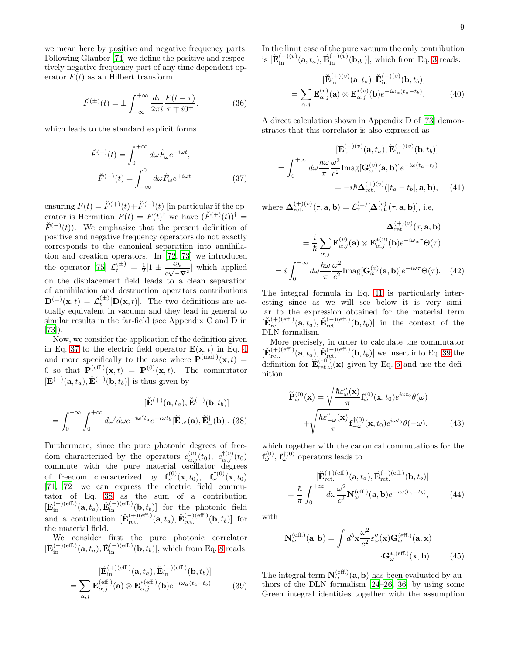we mean here by positive and negative frequency parts. Following Glauber [\[74\]](#page-16-4) we define the positive and respectively negative frequency part of any time dependent operator  $F(t)$  as an Hilbert transform

$$
\breve{F}^{(\pm)}(t) = \pm \int_{-\infty}^{+\infty} \frac{d\tau}{2\pi i} \frac{F(t-\tau)}{\tau \mp i0^{+}},
$$
 (36)

which leads to the standard explicit forms

<span id="page-8-0"></span>
$$
\breve{F}^{(+)}(t) = \int_0^{+\infty} d\omega \tilde{F}_{\omega} e^{-i\omega t},
$$

$$
\breve{F}^{(-)}(t) = \int_{-\infty}^0 d\omega \tilde{F}_{\omega} e^{+i\omega t}
$$
(37)

ensuring  $F(t) = \breve{F}^{(+)}(t) + \breve{F}^{(-)}(t)$  [in particular if the operator is Hermitian  $F(t) = F(t)^{\dagger}$  we have  $(F^{(+)}(t))^{\dagger} =$  $\check{F}^{(-)}(t)$ . We emphasize that the present definition of positive and negative frequency operators do not exactly corresponds to the canonical separation into annihilation and creation operators. In [\[72,](#page-16-3) [73\]](#page-16-2) we introduced the operator [\[75\]](#page-16-5)  $\mathcal{L}_t^{(\pm)} = \frac{1}{2} [1 \pm \frac{i \partial_t}{c_1 \sqrt{2}}]$  $\frac{i\partial_t}{c\sqrt{-\nabla^2}}$  which applied on the displacement field leads to a clean separation of annihilation and destruction operators contributions  $\mathbf{D}^{(\pm)}(\mathbf{x},t) = \mathcal{L}_t^{(\pm)}[\mathbf{D}(\mathbf{x},t)].$  The two definitions are actually equivalent in vacuum and they lead in general to similar results in the far-field (see Appendix C and D in [\[73\]](#page-16-2)).

Now, we consider the application of the definition given in Eq. [37](#page-8-0) to the electric field operator  $\mathbf{E}(\mathbf{x},t)$  in Eq. [4](#page-1-2) and more specifically to the case where  $\mathbf{P}^{(mol.)}(\mathbf{x},t)$  = 0 so that  $\mathbf{P}^{(eff.)}(\mathbf{x},t) = \mathbf{P}^{(0)}(\mathbf{x},t)$ . The commutator  $[\check{\mathbf{E}}^{(+)}(\mathbf{a},t_a), \check{\mathbf{E}}^{(-)}(\mathbf{b},t_b)]$  is thus given by

<span id="page-8-1"></span>
$$
[\breve{\mathbf{E}}^{(+)}(\mathbf{a},t_a), \breve{\mathbf{E}}^{(-)}(\mathbf{b},t_b)]
$$

$$
= \int_0^{+\infty} \int_0^{+\infty} d\omega' d\omega e^{-i\omega' t_a} e^{+i\omega t_b} [\widetilde{\mathbf{E}}_{\omega'}(\mathbf{a}), \widetilde{\mathbf{E}}_{\omega}^{\dagger}(\mathbf{b})].
$$
 (38)

Furthermore, since the pure photonic degrees of freedom characterized by the operators  $c_{\alpha,j}^{(v)}(t_0)$ ,  $c_{\alpha,j}^{\dagger(v)}(t_0)$ commute with the pure material oscillator degrees of freedom characterized by  $\mathbf{f}_{\omega}^{(0)}(\mathbf{x},t_0)$ ,  $\mathbf{f}_{\omega}^{\dagger(0)}(\mathbf{x},t_0)$ [\[71,](#page-16-1) [72](#page-16-3)] we can express the electric field commutator of Eq. [38](#page-8-1) as the sum of a contribution  $[\check{\mathbf{E}}_{\text{in}}^{(+)(\text{eff.})}(\mathbf{a},t_a), \check{\mathbf{E}}_{\text{in}}^{(-)(\text{eff.})}(\mathbf{b},t_b)]$  for the photonic field and a contribution  $[\check{\mathbf{E}}_{\text{ret.}}^{(+)(\text{eff.})}(\mathbf{a}, t_a), \check{\mathbf{E}}_{\text{ret.}}^{(-)(\text{eff.})}(\mathbf{b}, t_b)]$  for the material field.

We consider first the pure photonic correlator  $[\check{\mathbf{E}}_{\text{in}}^{(+)(\text{eff.})}(\mathbf{a},t_a), \check{\mathbf{E}}_{\text{in}}^{(-)(\text{eff.})}(\mathbf{b},t_b)],$  which from Eq. [8](#page-2-1) reads:

<span id="page-8-3"></span>
$$
[\breve{\mathbf{E}}_{\rm in}^{(+)(\rm eff.)}(\mathbf{a},t_a), \breve{\mathbf{E}}_{\rm in}^{(-)(\rm eff.)}(\mathbf{b},t_b)]
$$

$$
=\sum_{\alpha,j} \mathbf{E}_{\alpha,j}^{(\rm eff.)}(\mathbf{a}) \otimes \mathbf{E}_{\alpha,j}^{*(\rm eff.)}(\mathbf{b}) e^{-i\omega_\alpha(t_a-t_b)} \tag{39}
$$

In the limit case of the pure vacuum the only contribution is  $[\check{\mathbf{E}}_{\text{in}}^{(+)(v)}(\mathbf{a},t_a), \check{\mathbf{E}}_{\text{in}}^{(-)(v)}(\mathbf{b},_b)]$ , which from Eq. [3](#page-1-1) reads:

$$
[\breve{\mathbf{E}}_{\text{in}}^{(+)(v)}(\mathbf{a},t_a), \breve{\mathbf{E}}_{\text{in}}^{(-)(v)}(\mathbf{b},t_b)]
$$
  
= 
$$
\sum_{\alpha,j} \mathbf{E}_{\alpha,j}^{(v)}(\mathbf{a}) \otimes \mathbf{E}_{\alpha,j}^{*(v)}(\mathbf{b}) e^{-i\omega_{\alpha}(t_a-t_b)}.
$$
 (40)

A direct calculation shown in Appendix D of [\[73\]](#page-16-2) demonstrates that this correlator is also expressed as

<span id="page-8-2"></span>
$$
[\breve{\mathbf{E}}_{\rm in}^{(+)(v)}(\mathbf{a},t_a), \breve{\mathbf{E}}_{\rm in}^{(-)(v)}(\mathbf{b},t_b)]
$$

$$
= \int_0^{+\infty} d\omega \frac{\hbar \omega}{\pi} \frac{\omega^2}{c^2} \text{Imag}[\mathbf{G}_{\omega}^{(v)}(\mathbf{a},\mathbf{b})] e^{-i\omega(t_a-t_b)}
$$

$$
= -i\hbar \Delta_{\rm ret.}^{(+)(v)}(|t_a-t_b|,\mathbf{a},\mathbf{b}), \quad (41)
$$

where  $\mathbf{\Delta}_{\textrm{ret.}}^{(+)(v)}(\tau,\mathbf{a},\mathbf{b})=\mathcal{L}_{\tau}^{(\pm)}[\mathbf{\Delta}_{\textrm{ret.}}^{(v)}(\tau,\mathbf{a},\mathbf{b})],$  i.e,

$$
\Delta_{\text{ret.}}^{(+)(v)}(\tau, \mathbf{a}, \mathbf{b})
$$
  
=  $\frac{i}{\hbar} \sum_{\alpha, j} \mathbf{E}_{\alpha, j}^{(v)}(\mathbf{a}) \otimes \mathbf{E}_{\alpha, j}^{*(v)}(\mathbf{b}) e^{-i\omega_{\alpha}\tau} \Theta(\tau)$   
=  $i \int_0^{+\infty} d\omega \frac{\hbar \omega}{\pi} \frac{\omega^2}{c^2} \text{Imag}[\mathbf{G}_{\omega}^{(v)}(\mathbf{a}, \mathbf{b})] e^{-i\omega\tau} \Theta(\tau).$  (42)

The integral formula in Eq. [41](#page-8-2) is particularly interesting since as we will see below it is very similar to the expression obtained for the material term  $[\check{\mathbf{E}}_{\text{ret.}}^{(+)(\text{eff.})}(\mathbf{a},t_a), \check{\mathbf{E}}_{\text{ret.}}^{(-)(\text{eff.})}(\mathbf{b},t_b)]$  in the context of the DLN formalism.

More precisely, in order to calculate the commutator  $[\check{\mathbf{E}}_{\text{ret.}}^{(+)(\text{eff.})}(\mathbf{a},t_a), \check{\mathbf{E}}_{\text{ret.}}^{(-)(\text{eff.})}(\mathbf{b},t_b)]$  we insert into Eq. [39](#page-8-3) the definition for  $\widetilde{\mathbf{E}}_{\textrm{ret.}\omega}^{(\textrm{eff.})}(\mathbf{x})$  given by Eq. [6](#page-2-0) and use the definition

$$
\widetilde{\mathbf{P}}_{\omega}^{(0)}(\mathbf{x}) = \sqrt{\frac{\hbar \varepsilon_{\omega}^{"}(\mathbf{x})}{\pi}} \mathbf{f}_{\omega}^{(0)}(\mathbf{x}, t_0) e^{i\omega t_0} \theta(\omega)
$$
\n
$$
+ \sqrt{\frac{\hbar \varepsilon_{-\omega}^{"}(\mathbf{x})}{\pi}} \mathbf{f}_{-\omega}^{\dagger(0)}(\mathbf{x}, t_0) e^{i\omega t_0} \theta(-\omega), \tag{43}
$$

which together with the canonical commutations for the  $\mathbf{f}_{\omega}^{(0)}$ ,  $\mathbf{f}_{\omega}^{\dagger(0)}$  operators leads to

<span id="page-8-4"></span>
$$
[\breve{\mathbf{E}}_{\text{ret.}}^{(+)(\text{eff.})}(\mathbf{a},t_a), \breve{\mathbf{E}}_{\text{ret.}}^{(-)(\text{eff.})}(\mathbf{b},t_b)]
$$

$$
=\frac{\hbar}{\pi} \int_0^{+\infty} d\omega \frac{\omega^2}{c^2} \mathbf{N}_{\omega}^{(\text{eff.})}(\mathbf{a},\mathbf{b}) e^{-i\omega(t_a-t_b)}, \qquad (44)
$$

with

$$
\mathbf{N}_{\omega}^{(\text{eff.})}(\mathbf{a}, \mathbf{b}) = \int d^3 \mathbf{x} \frac{\omega^2}{c^2} \varepsilon_{\omega}''(\mathbf{x}) \mathbf{G}_{\omega}^{(\text{eff.})}(\mathbf{a}, \mathbf{x})
$$

$$
\mathbf{G}_{\omega}^{*, (\text{eff.})}(\mathbf{x}, \mathbf{b}). \tag{45}
$$

The integral term  $N_{\omega}^{(\text{eff.})}(\mathbf{a}, \mathbf{b})$  has been evaluated by authors of the DLN formalism [\[24](#page-15-12)[–26,](#page-15-13) [36\]](#page-15-15) by using some Green integral identities together with the assumption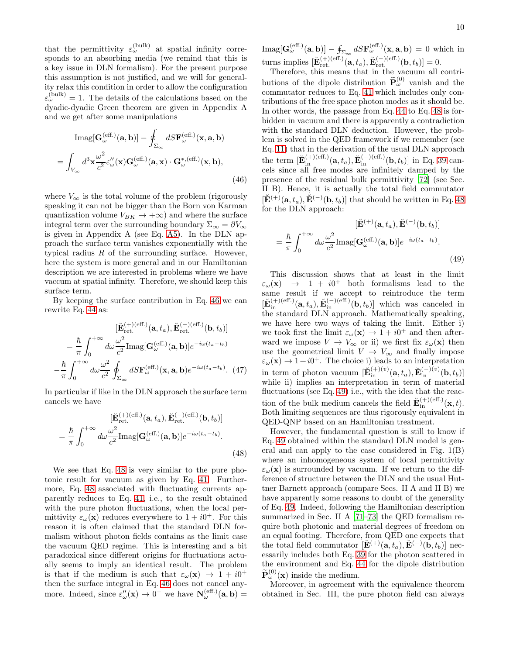that the permittivity  $\varepsilon_{\omega}^{(\text{bulk})}$  at spatial infinity corresponds to an absorbing media (we remind that this is a key issue in DLN formalism). For the present purpose this assumption is not justified, and we will for generality relax this condition in order to allow the configuration  $\varepsilon_{\omega}^{(\text{bulk})} = 1$ . The details of the calculations based on the dyadic-dyadic Green theorem are given in Appendix A and we get after some manipulations

<span id="page-9-0"></span>
$$
\text{Imag}[\mathbf{G}_{\omega}^{(\text{eff.})}(\mathbf{a}, \mathbf{b})] - \oint_{\Sigma_{\infty}} dS \mathbf{F}_{\omega}^{(\text{eff.})}(\mathbf{x}, \mathbf{a}, \mathbf{b})
$$

$$
= \int_{V_{\infty}} d^{3} \mathbf{x} \frac{\omega^{2}}{c^{2}} \varepsilon_{\omega}^{"}(\mathbf{x}) \mathbf{G}_{\omega}^{(\text{eff.})}(\mathbf{a}, \mathbf{x}) \cdot \mathbf{G}_{\omega}^{*, (\text{eff.})}(\mathbf{x}, \mathbf{b}), \tag{46}
$$

where  $V_{\infty}$  is the total volume of the problem (rigorously speaking it can not be bigger than the Born von Karman quantization volume  $V_{BK} \rightarrow +\infty$  and where the surface integral term over the surrounding boundary  $\Sigma_{\infty} = \partial V_{\infty}$ is given in Appendix A (see Eq. [A5\)](#page-13-0). In the DLN approach the surface term vanishes exponentially with the typical radius  $R$  of the surrounding surface. However, here the system is more general and in our Hamiltonian description we are interested in problems where we have vaccum at spatial infinity. Therefore, we should keep this surface term.

By keeping the surface contribution in Eq. [46](#page-9-0) we can rewrite Eq. [44](#page-8-4) as:

$$
[\breve{\mathbf{E}}_{\text{ret.}}^{(+)(\text{eff.})}(\mathbf{a}, t_a), \breve{\mathbf{E}}_{\text{ret.}}^{(-)(\text{eff.})}(\mathbf{b}, t_b)]
$$

$$
= \frac{\hbar}{\pi} \int_0^{+\infty} d\omega \frac{\omega^2}{c^2} \text{Imag}[\mathbf{G}_{\omega}^{(\text{eff.})}(\mathbf{a}, \mathbf{b})] e^{-i\omega(t_a - t_b)}
$$

$$
-\frac{\hbar}{\pi} \int_0^{+\infty} d\omega \frac{\omega^2}{c^2} \oint_{\Sigma_{\infty}} dS \mathbf{F}_{\omega}^{(\text{eff.})}(\mathbf{x}, \mathbf{a}, \mathbf{b}) e^{-i\omega(t_a - t_b)}. (47)
$$

In particular if like in the DLN approach the surface term cancels we have

<span id="page-9-1"></span>
$$
[\breve{\mathbf{E}}_{\text{ret.}}^{(+)(\text{eff.})}(\mathbf{a}, t_a), \breve{\mathbf{E}}_{\text{ret.}}^{(-)(\text{eff.})}(\mathbf{b}, t_b)]
$$

$$
= \frac{\hbar}{\pi} \int_0^{+\infty} d\omega \frac{\omega^2}{c^2} \text{Imag}[\mathbf{G}_{\omega}^{(\text{eff.})}(\mathbf{a}, \mathbf{b})] e^{-i\omega(t_a - t_b)}.
$$
(48)

We see that Eq. [48](#page-9-1) is very similar to the pure photonic result for vacuum as given by Eq. [41.](#page-8-2) Furthermore, Eq. [48](#page-9-1) associated with fluctuating currents apparently reduces to Eq. [41,](#page-8-2) i.e., to the result obtained with the pure photon fluctuations, when the local permittivity  $\varepsilon_{\omega}(\mathbf{x})$  reduces everywhere to  $1 + i0^{+}$ . For this reason it is often claimed that the standard DLN formalism without photon fields contains as the limit case the vacuum QED regime. This is interesting and a bit paradoxical since different origins for fluctuations actually seems to imply an identical result. The problem is that if the medium is such that  $\varepsilon_{\omega}(\mathbf{x}) \rightarrow 1 + i0^+$ then the surface integral in Eq. [46](#page-9-0) does not cancel anymore. Indeed, since  $\varepsilon''_{\omega}(\mathbf{x}) \to 0^+$  we have  $\mathbf{N}_{\omega}^{(\text{eff.})}(\mathbf{a}, \mathbf{b}) =$ 

 $\text{Imag}[\mathbf{G}_{\omega}^{(\text{eff.})}(\mathbf{a},\mathbf{b})]-\oint_{\Sigma_{\infty}}dS\mathbf{F}_{\omega}^{(\text{eff.})}(\mathbf{x},\mathbf{a},\mathbf{b})=0$  which in turns implies  $[\check{\mathbf{E}}_{\text{ret.}}^{(+)(\text{eff.})}(\mathbf{a}, t_a), \check{\mathbf{E}}_{\text{ret.}}^{(-)(\text{eff.})}(\mathbf{b}, t_b)] = 0.$ 

Therefore, this means that in the vacuum all contributions of the dipole distribution  $\widetilde{\mathbf{P}}_{\omega}^{(0)}$  vanish and the commutator reduces to Eq. [41](#page-8-2) which includes only contributions of the free space photon modes as it should be. In other words, the passage from Eq. [44](#page-8-4) to Eq. [48](#page-9-1) is forbidden in vacuum and there is apparently a contradiction with the standard DLN deduction. However, the problem is solved in the QED framework if we remember (see Eq. [11\)](#page-3-3) that in the derivation of the usual DLN approach the term  $[\mathbf{\breve{E}}_{\text{in}}^{(+)(\text{eff.})}(\mathbf{a}, t_a), \mathbf{\breve{E}}_{\text{in}}^{(-)(\text{eff.})}(\mathbf{b}, t_b)]$  in Eq. [39](#page-8-3) cancels since all free modes are infinitely damped by the presence of the residual bulk permittivity [\[72\]](#page-16-3) (see Sec. II B). Hence, it is actually the total field commutator  $[\check{\mathbf{E}}^{(+)}(\mathbf{a},t_a), \check{\mathbf{E}}^{(-)}(\mathbf{b},t_b)]$  that should be written in Eq. [48](#page-9-1) for the DLN approach:

<span id="page-9-2"></span>
$$
[\mathbf{\breve{E}}^{(+)}(\mathbf{a},t_a), \mathbf{\breve{E}}^{(-)}(\mathbf{b},t_b)]
$$

$$
= \frac{\hbar}{\pi} \int_0^{+\infty} d\omega \frac{\omega^2}{c^2} \text{Imag}[\mathbf{G}_{\omega}^{(\text{eff.})}(\mathbf{a}, \mathbf{b})] e^{-i\omega(t_a - t_b)}.
$$
(49)

This discussion shows that at least in the limit  $\varepsilon_{\omega}(\mathbf{x}) \rightarrow 1 + i0^{+}$  both formalisms lead to the same result if we accept to reintroduce the term  $[\check{\mathbf{E}}_{\text{in}}^{(+)(\text{eff.})}(\mathbf{a},t_a), \check{\mathbf{E}}_{\text{in}}^{(-)(\text{eff.})}(\mathbf{b},t_b)]$  which was canceled in the standard DLN approach. Mathematically speaking, we have here two ways of taking the limit. Either i) we took first the limit  $\varepsilon_{\omega}(\mathbf{x}) \to 1 + i0^+$  and then afterward we impose  $V \to V_{\infty}$  or ii) we first fix  $\varepsilon_{\omega}(\mathbf{x})$  then use the geometrical limit  $V \to V_{\infty}$  and finally impose  $\varepsilon_{\omega}(\mathbf{x}) \to 1 + i0^+$ . The choice i) leads to an interpretation in term of photon vacuum  $[\check{\mathbf{E}}_{\text{in}}^{(+)(v)}(\mathbf{a}, t_a), \check{\mathbf{E}}_{\text{in}}^{(-)(v)}(\mathbf{b}, t_b)]$ while ii) implies an interpretation in term of material fluctuations (see Eq. [49\)](#page-9-2) i.e., with the idea that the reaction of the bulk medium cancels the field  $\check{\mathbf{E}}_{\text{in}}^{(+)(\text{eff.})}(\mathbf{x},t)$ . Both limiting sequences are thus rigorously equivalent in QED-QNP based on an Hamiltonian treatment.

However, the fundamental question is still to know if Eq. [49](#page-9-2) obtained within the standard DLN model is general and can apply to the case considered in Fig. 1(B) where an inhomogeneous system of local permittivity  $\varepsilon_{\omega}(\mathbf{x})$  is surrounded by vacuum. If we return to the difference of structure between the DLN and the usual Huttner Barnett approach (compare Secs. II A and II B) we have apparently some reasons to doubt of the generality of Eq. [49.](#page-9-2) Indeed, following the Hamiltonian description summarized in Sec. II A [\[71](#page-16-1)[–73](#page-16-2)] the QED formalism require both photonic and material degrees of freedom on an equal footing. Therefore, from QED one expects that the total field commutator  $[\breve{\mathbf{E}}^{(+)}(\mathbf{a}, t_a), \breve{\mathbf{E}}^{(-)}(\dot{\mathbf{b}}, t_b)]$  necessarily includes both Eq. [39](#page-8-3) for the photon scattered in the environment and Eq. [44](#page-8-4) for the dipole distribution  $\widetilde{\mathbf{P}}_{\omega}^{(0)}(\mathbf{x})$  inside the medium.

Moreover, in agreement with the equivalence theorem obtained in Sec. III, the pure photon field can always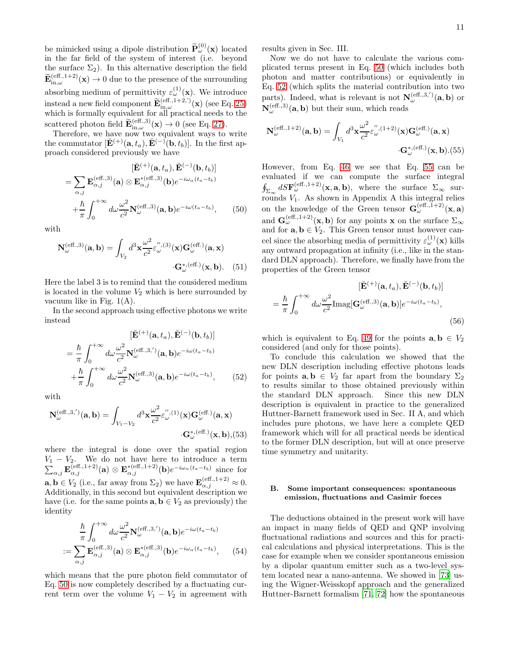be mimicked using a dipole distribution  $\widetilde{\mathbf{P}}_{\omega}^{(0)}(\mathbf{x})$  located in the far field of the system of interest (i.e. beyond the surface  $\Sigma_2$ ). In this alternative description the field  $\widetilde{\mathbf{E}}_{\textrm{in},\omega}^{(\textrm{eff.,1+2})}(\mathbf{x})\rightarrow 0$  due to the presence of the surrounding absorbing medium of permittivity  $\varepsilon_{\omega}^{(1)}(\mathbf{x})$ . We introduce instead a new field component  $\widetilde{\mathbf{E}}_{\textrm{in},\omega}^{(\textrm{eff.,1+2,'})}(\mathbf{x})$  (see Eq. [25\)](#page-5-3) which is formally equivalent for all practical needs to the scattered photon field  $\widetilde{\mathbf{E}}_{\textrm{in},\omega}^{(\textrm{eff.},3)}(\mathbf{x}) \to 0$  (see Eq. [27\)](#page-5-4).

Therefore, we have now two equivalent ways to write the commutator  $[\check{\mathbf{E}}^{(+)}(\mathbf{a},t_a), \check{\mathbf{E}}^{(-)}(\mathbf{b},t_b)].$  In the first approach considered previously we have

<span id="page-10-0"></span>
$$
[\mathbf{\breve{E}}^{(+)}(\mathbf{a},t_a), \mathbf{\breve{E}}^{(-)}(\mathbf{b},t_b)]
$$
  
=  $\sum_{\alpha,j} \mathbf{E}_{\alpha,j}^{(\text{eff.,3})}(\mathbf{a}) \otimes \mathbf{E}_{\alpha,j}^{*(\text{eff.,3})}(\mathbf{b}) e^{-i\omega_{\alpha}(t_a-t_b)}$   
+  $\frac{\hbar}{\pi} \int_0^{+\infty} d\omega \frac{\omega^2}{c^2} \mathbf{N}_{\omega}^{(\text{eff.,3})}(\mathbf{a},\mathbf{b}) e^{-i\omega(t_a-t_b)},$  (50)

with

$$
\mathbf{N}_{\omega}^{(\text{eff.,3})}(\mathbf{a}, \mathbf{b}) = \int_{V_2} d^3 \mathbf{x} \frac{\omega^2}{c^2} \varepsilon_{\omega}^{",(3)}(\mathbf{x}) \mathbf{G}_{\omega}^{(\text{eff.})}(\mathbf{a}, \mathbf{x})
$$

$$
\cdot \mathbf{G}_{\omega}^{*,(\text{eff.})}(\mathbf{x}, \mathbf{b}). \quad (51)
$$

Here the label 3 is to remind that the considered medium is located in the volume  $V_2$  which is here surrounded by vacuum like in Fig.  $1(A)$ .

In the second approach using effective photons we write instead

<span id="page-10-1"></span>
$$
[\breve{\mathbf{E}}^{(+)}(\mathbf{a},t_a), \breve{\mathbf{E}}^{(-)}(\mathbf{b},t_b)]
$$
  
\n
$$
= \frac{\hbar}{\pi} \int_0^{+\infty} d\omega \frac{\omega^2}{c^2} \mathbf{N}_{\omega}^{(\text{eff.,3,'})}(\mathbf{a},\mathbf{b}) e^{-i\omega(t_a-t_b)}
$$
  
\n
$$
+ \frac{\hbar}{\pi} \int_0^{+\infty} d\omega \frac{\omega^2}{c^2} \mathbf{N}_{\omega}^{(\text{eff.,3})}(\mathbf{a},\mathbf{b}) e^{-i\omega(t_a-t_b)}, \qquad (52)
$$

with

$$
\mathbf{N}_{\omega}^{(\text{eff.,3,'})}(\mathbf{a},\mathbf{b}) = \int_{V_1 - V_2} d^3 \mathbf{x} \frac{\omega^2}{c^2} \varepsilon_{\omega}^{",(1)}(\mathbf{x}) \mathbf{G}_{\omega}^{(\text{eff.})}(\mathbf{a}, \mathbf{x})
$$

$$
\mathbf{G}_{\omega}^{*,(\text{eff.})}(\mathbf{x}, \mathbf{b}), (53)
$$

where the integral is done over the spatial region  $V_1 - V_2$ . We do not have here to introduce a term<br>  $\sum_{\alpha,j} \mathbf{E}_{\alpha,j}^{(\text{eff.,1+2})}(\mathbf{a}) \otimes \mathbf{E}_{\alpha,j}^{*(\text{eff.,1+2})}(\mathbf{b}) e^{-i\omega_\alpha (t_a - t_b)}$  since for  $\mathbf{a}, \mathbf{b} \in V_2$  (i.e., far away from  $\Sigma_2$ ) we have  $\mathbf{E}_{\alpha,j}^{(\text{eff.,1+2})} \approx 0$ . Additionally, in this second but equivalent description we have (i.e. for the same points  $\mathbf{a}, \mathbf{b} \in V_2$  as previously) the identity

$$
\frac{\hbar}{\pi} \int_0^{+\infty} d\omega \frac{\omega^2}{c^2} \mathbf{N}_{\omega}^{(\text{eff.,3,'})}(\mathbf{a}, \mathbf{b}) e^{-i\omega(t_a - t_b)} \n:= \sum_{\alpha,j} \mathbf{E}_{\alpha,j}^{(\text{eff.,3})}(\mathbf{a}) \otimes \mathbf{E}_{\alpha,j}^{*(\text{eff.,3})}(\mathbf{b}) e^{-i\omega_{\alpha}(t_a - t_b)}, \quad (54)
$$

which means that the pure photon field commutator of Eq. [50](#page-10-0) is now completely described by a fluctuating current term over the volume  $V_1 - V_2$  in agreement with

results given in Sec. III.

Now we do not have to calculate the various complicated terms present in Eq. [50](#page-10-0) (which includes both photon and matter contributions) or equivalently in Eq. [52](#page-10-1) (which splits the material contribution into two parts). Indeed, what is relevant is not  $N_{\omega}^{(eff.,3,')}(a,b)$  or  $\mathbf{N}_{\omega}^{(\textrm{eff.},3)}(\mathbf{a},\mathbf{b})$  but their sum, which reads

<span id="page-10-2"></span>
$$
\mathbf{N}_{\omega}^{(\text{eff.},1+2)}(\mathbf{a},\mathbf{b}) = \int_{V_1} d^3 \mathbf{x} \frac{\omega^2}{c^2} \varepsilon_{\omega}^{",(1+2)}(\mathbf{x}) \mathbf{G}_{\omega}^{(\text{eff.})}(\mathbf{a},\mathbf{x})
$$

$$
\cdot \mathbf{G}_{\omega}^{*,(\text{eff.})}(\mathbf{x},\mathbf{b}).(55)
$$

However, from Eq. [46](#page-9-0) we see that Eq. [55](#page-10-2) can be evaluated if we can compute the surface integral  $\oint_{\Sigma_{\infty}} dS \mathbf{F}_{\omega}^{(\text{eff.,1+2})}(\mathbf{x}, \mathbf{a}, \mathbf{b}),$  where the surface  $\Sigma_{\infty}$  surrounds  $V_1$ . As shown in Appendix A this integral relies on the knowledge of the Green tensor  $\mathbf{G}_{\omega}^{(\textrm{eff.,1+2})}(\mathbf{x},\mathbf{a})$ and  $\mathbf{G}_{\omega}^{(\text{eff.,1+2})}(\mathbf{x},\mathbf{b})$  for any points x on the surface  $\Sigma_{\infty}$ and for  $\mathbf{a}, \mathbf{b} \in V_2$ . This Green tensor must however cancel since the absorbing media of permittivity  $\varepsilon_{\omega}^{(1)}(\mathbf{x})$  kills any outward propagation at infinity (i.e., like in the standard DLN approach). Therefore, we finally have from the properties of the Green tensor

<span id="page-10-3"></span>
$$
[\breve{\mathbf{E}}^{(+)}(\mathbf{a},t_a), \breve{\mathbf{E}}^{(-)}(\mathbf{b},t_b)]
$$

$$
= \frac{\hbar}{\pi} \int_0^{+\infty} d\omega \frac{\omega^2}{c^2} \text{Imag}[\mathbf{G}^{(\text{eff.},3)}_{\omega}(\mathbf{a},\mathbf{b})] e^{-i\omega(t_a-t_b)},
$$
(56)

which is equivalent to Eq. [49](#page-9-2) for the points  $a, b \in V_2$ considered (and only for those points).

To conclude this calculation we showed that the new DLN description including effective photons leads for points  $a, b \in V_2$  far apart from the boundary  $\Sigma_2$ to results similar to those obtained previously within the standard DLN approach. Since this new DLN description is equivalent in practice to the generalized Huttner-Barnett framework used in Sec. II A, and which includes pure photons, we have here a complete QED framework which will for all practical needs be identical to the former DLN description, but will at once preserve time symmetry and unitarity.

#### B. Some important consequences: spontaneous emission, fluctuations and Casimir forces

The deductions obtained in the present work will have an impact in many fields of QED and QNP involving fluctuational radiations and sources and this for practical calculations and physical interpretations. This is the case for example when we consider spontaneous emission by a dipolar quantum emitter such as a two-level system located near a nano-antenna. We showed in [\[73](#page-16-2)] using the Wigner-Weisskopf approach and the generalized Huttner-Barnett formalism [\[71](#page-16-1), [72\]](#page-16-3) how the spontaneous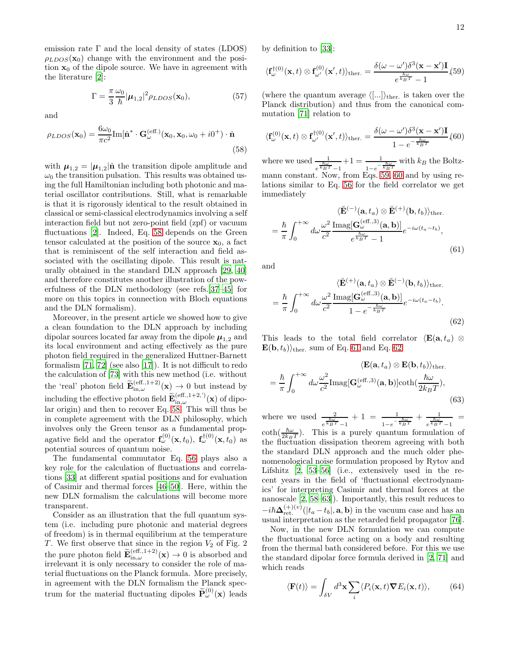emission rate  $\Gamma$  and the local density of states (LDOS)  $\rho_{LDOS}(\mathbf{x}_0)$  change with the environment and the position  $x_0$  of the dipole source. We have in agreement with the literature [\[2\]](#page-15-1):

$$
\Gamma = \frac{\pi}{3} \frac{\omega_0}{\hbar} |\boldsymbol{\mu}_{1,2}|^2 \rho_{LDOS}(\mathbf{x}_0),\tag{57}
$$

and

<span id="page-11-0"></span>
$$
\rho_{LDOS}(\mathbf{x}_0) = \frac{6\omega_0}{\pi c^2} \text{Im}[\hat{\mathbf{n}}^* \cdot \mathbf{G}_{\omega}^{(\text{eff.})}(\mathbf{x}_0, \mathbf{x}_0, \omega_0 + i0^+) \cdot \hat{\mathbf{n}} \tag{58}
$$

with  $\mu_{1,2} = |\mu_{1,2}| \hat{\mathbf{n}}$  the transition dipole amplitude and  $\omega_0$  the transition pulsation. This results was obtained using the full Hamiltonian including both photonic and material oscillator contributions. Still, what is remarkable is that it is rigorously identical to the result obtained in classical or semi-classical electrodynamics involving a self interaction field but not zero-point field (zpf) or vacuum fluctuations [\[2](#page-15-1)]. Indeed, Eq. [58](#page-11-0) depends on the Green tensor calculated at the position of the source  $x_0$ , a fact that is reminiscent of the self interaction and field associated with the oscillating dipole. This result is naturally obtained in the standard DLN approach [\[29,](#page-15-31) [40](#page-15-32)] and therefore constitutes another illustration of the powerfulness of the DLN methodology (see refs.[\[37](#page-15-16)[–45\]](#page-15-17) for more on this topics in connection with Bloch equations and the DLN formalism).

Moreover, in the present article we showed how to give a clean foundation to the DLN approach by including dipolar sources located far away from the dipole  $\mu_{1,2}$  and its local environment and acting effectively as the pure photon field required in the generalized Huttner-Barnett formalism [\[71](#page-16-1), [72\]](#page-16-3) (see also [\[17\]](#page-15-33)). It is not difficult to redo the calculation of [\[73](#page-16-2)] with this new method (i.e. without the 'real' photon field  $\widetilde{\mathbf{E}}_{\textrm{in},\omega}^{(\textrm{eff.,1+2})}(\mathbf{x}) \to 0$  but instead by including the effective photon field  $\widetilde{\mathbf{E}}_{\textrm{in},\omega}^{(\textrm{eff.,1+2,'})}(\mathbf{x})$  of dipolar origin) and then to recover Eq. [58.](#page-11-0) This will thus be in complete agreement with the DLN philosophy, which involves only the Green tensor as a fundamental propagative field and the operator  $\mathbf{f}_{\omega}^{(0)}(\mathbf{x},t_0)$ ,  $\mathbf{f}_{\omega}^{\dagger(0)}(\mathbf{x},t_0)$  as potential sources of quantum noise.

The fundamental commutator Eq. [56](#page-10-3) plays also a key role for the calculation of fluctuations and correlations [\[33\]](#page-15-30) at different spatial positions and for evaluation of Casimir and thermal forces [\[46](#page-15-18)[–50](#page-15-19)]. Here, within the new DLN formalism the calculations will become more transparent.

Consider as an illustration that the full quantum system (i.e. including pure photonic and material degrees of freedom) is in thermal equilibrium at the temperature T. We first observe that since in the region  $V_2$  of Fig. 2 the pure photon field  $\widetilde{\mathbf{E}}_{\text{in},\omega}^{(\text{eff.,1+2})}(\mathbf{x}) \to 0$  is absorbed and irrelevant it is only necessary to consider the role of material fluctuations on the Planck formula. More precisely, in agreement with the DLN formalism the Planck spectrum for the material fluctuating dipoles  $\widetilde{\mathbf{P}}_{\omega}^{(0)}(\mathbf{x})$  leads

by definition to [\[33](#page-15-30)]:

<span id="page-11-1"></span>
$$
\langle \mathbf{f}_{\omega}^{\dagger(0)}(\mathbf{x},t) \otimes \mathbf{f}_{\omega'}^{(0)}(\mathbf{x}',t) \rangle_{\text{ther.}} = \frac{\delta(\omega - \omega') \delta^3(\mathbf{x} - \mathbf{x}') \mathbf{I}}{e^{\frac{\hbar \omega}{k_B T}} - 1} (59)
$$

(where the quantum average  $\langle ... \rangle$ <sub>ther.</sub> is taken over the Planck distribution) and thus from the canonical commutation [\[71\]](#page-16-1) relation to

<span id="page-11-2"></span>
$$
\langle \mathbf{f}_{\omega}^{(0)}(\mathbf{x},t) \otimes \mathbf{f}_{\omega'}^{\dagger(0)}(\mathbf{x}',t) \rangle_{\text{ther.}} = \frac{\delta(\omega - \omega')\delta^3(\mathbf{x} - \mathbf{x}')\mathbf{I}}{1 - e^{-\frac{\hbar\omega}{k_B T}}} (60)
$$

where we used  $\frac{1}{e^{\frac{k\omega T}{k_BT}-1}}$  $+1 = \frac{1}{1}$  $\frac{1}{1-e^{-\frac{\hbar\omega}{k_BT}}}$  with  $k_B$  the Boltzmann constant. Now, from Eqs. [59,](#page-11-1) [60](#page-11-2) and by using relations similar to Eq. [56](#page-10-3) for the field correlator we get immediately

<span id="page-11-3"></span>
$$
\langle \check{\mathbf{E}}^{(-)}(\mathbf{a}, t_a) \otimes \check{\mathbf{E}}^{(+)}(\mathbf{b}, t_b) \rangle_{\text{ther.}} \n= \frac{\hbar}{\pi} \int_0^{+\infty} d\omega \frac{\omega^2}{c^2} \frac{\text{Imag}[\mathbf{G}_{\omega}^{(\text{eff.,3})}(\mathbf{a}, \mathbf{b})]}{e^{\frac{\hbar \omega}{k_B T}} - 1} e^{-i\omega(t_a - t_b)},
$$
\n(61)

and

<span id="page-11-4"></span>
$$
\langle \breve{\mathbf{E}}^{(+)}(\mathbf{a}, t_a) \otimes \breve{\mathbf{E}}^{(-)}(\mathbf{b}, t_b) \rangle_{\text{ther.}} \n= \frac{\hbar}{\pi} \int_0^{+\infty} d\omega \frac{\omega^2}{c^2} \frac{\text{Imag}[\mathbf{G}_{\omega}^{(\text{eff.,3})}(\mathbf{a}, \mathbf{b})]}{1 - e^{-\frac{\hbar \omega}{k_B T}}} e^{-i\omega(t_a - t_b)}.
$$
\n(62)

This leads to the total field correlator  $\langle \mathbf{E}(\mathbf{a}, t_a) \otimes$  $\mathbf{E}(\mathbf{b}, t_b)$ <sub>ther.</sub> sum of Eq. [61](#page-11-3) and Eq. [62:](#page-11-4)

$$
\langle \mathbf{E}(\mathbf{a}, t_a) \otimes \mathbf{E}(\mathbf{b}, t_b) \rangle_{\text{ther.}} = \frac{\hbar}{\pi} \int_0^{+\infty} d\omega \frac{\omega^2}{c^2} \text{Imag}[\mathbf{G}_{\omega}^{(\text{eff.,3})}(\mathbf{a}, \mathbf{b})] \text{coth}(\frac{\hbar \omega}{2k_B T}),
$$
(63)

where we used  $\frac{2}{e^{\frac{\hbar\omega}{k_BT}}-1}$  $+ 1 = \frac{1}{1}$  $\frac{1}{1-e^{-\frac{\hbar\omega}{k_BT}}}+\frac{1}{e^{\frac{\hbar\omega}{k_BT}}}$  $e^{\frac{\hbar\omega}{k_BT}}-1$ =  $\coth(\frac{\hbar\omega}{2k_BT})$ . This is a purely quantum formulation of the fluctuation dissipation theorem agreeing with both the standard DLN approach and the much older phenomenological noise formulation proposed by Rytov and Lifshitz [\[2,](#page-15-1) [53](#page-15-22)[–56\]](#page-15-23) (i.e., extensively used in the recent years in the field of 'fluctuational electrodynamics' for interpreting Casimir and thermal forces at the nanoscale [\[2](#page-15-1), [58](#page-15-25)[–63](#page-15-26)]). Importantly, this result reduces to  $-i\hbar\Delta_{\rm ret}^{(+)(v)}(|t_a-t_b|, \mathbf{a}, \mathbf{b})$  in the vacuum case and has an usual interpretation as the retarded field propagator [\[76\]](#page-16-6).

Now, in the new DLN formulation we can compute the fluctuational force acting on a body and resulting from the thermal bath considered before. For this we use the standard dipolar force formula derived in [\[2](#page-15-1), [71\]](#page-16-1) and which reads

$$
\langle \mathbf{F}(t) \rangle = \int_{\delta V} d^3 \mathbf{x} \sum_i \langle P_i(\mathbf{x}, t) \mathbf{\nabla} E_i(\mathbf{x}, t) \rangle, \qquad (64)
$$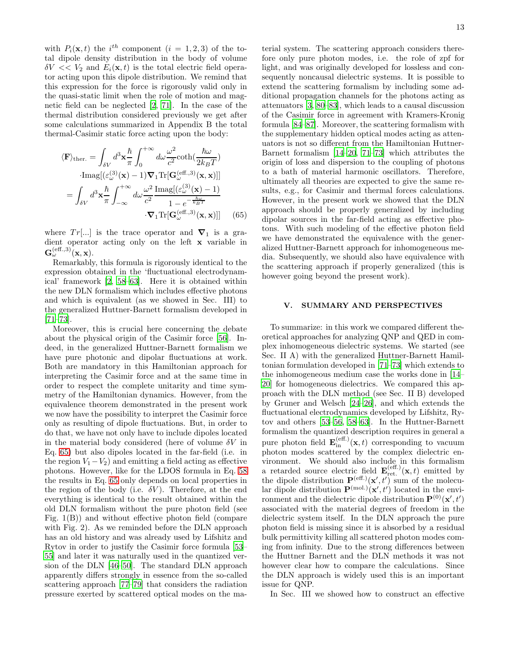with  $P_i(\mathbf{x}, t)$  the i<sup>th</sup> component  $(i = 1, 2, 3)$  of the total dipole density distribution in the body of volume  $\delta V \ll V_2$  and  $E_i(\mathbf{x}, t)$  is the total electric field operator acting upon this dipole distribution. We remind that this expression for the force is rigorously valid only in the quasi-static limit when the role of motion and magnetic field can be neglected [\[2,](#page-15-1) [71\]](#page-16-1). In the case of the thermal distribution considered previously we get after some calculations summarized in Appendix B the total thermal-Casimir static force acting upon the body:

<span id="page-12-0"></span>
$$
\langle \mathbf{F} \rangle_{\text{ther.}} = \int_{\delta V} d^3 \mathbf{x} \frac{\hbar}{\pi} \int_0^{+\infty} d\omega \frac{\omega^2}{c^2} \text{coth}(\frac{\hbar \omega}{2k_B T})
$$

$$
\cdot \text{Imag}[(\varepsilon_{\omega}^{(3)}(\mathbf{x}) - 1)\nabla_1 \text{Tr}[\mathbf{G}_{\omega}^{(\text{eff.,3})}(\mathbf{x}, \mathbf{x})]]
$$

$$
= \int_{\delta V} d^3 \mathbf{x} \frac{\hbar}{\pi} \int_{-\infty}^{+\infty} d\omega \frac{\omega^2}{c^2} \frac{\text{Imag}[(\varepsilon_{\omega}^{(3)}(\mathbf{x}) - 1)}{1 - e^{-\frac{\hbar \omega}{k_B T}}}
$$

$$
\cdot \nabla_1 \text{Tr}[\mathbf{G}_{\omega}^{(\text{eff.,3})}(\mathbf{x}, \mathbf{x})]] \qquad (65)
$$

where  $Tr[...]$  is the trace operator and  $\nabla_1$  is a gradient operator acting only on the left x variable in  $\mathbf{G}_{\omega}^{(\textrm{eff.},3)}(\mathbf{x},\mathbf{x}).$ 

Remarkably, this formula is rigorously identical to the expression obtained in the 'fluctuational electrodynamical' framework [\[2,](#page-15-1) [58](#page-15-25)[–63](#page-15-26)]. Here it is obtained within the new DLN formalism which includes effective photons and which is equivalent (as we showed in Sec. III) to the generalized Huttner-Barnett formalism developed in [\[71](#page-16-1)[–73\]](#page-16-2).

Moreover, this is crucial here concerning the debate about the physical origin of the Casimir force [\[56\]](#page-15-23). Indeed, in the generalized Huttner-Barnett formalism we have pure photonic and dipolar fluctuations at work. Both are mandatory in this Hamiltonian approach for interpreting the Casimir force and at the same time in order to respect the complete unitarity and time symmetry of the Hamiltonian dynamics. However, from the equivalence theorem demonstrated in the present work we now have the possibility to interpret the Casimir force only as resulting of dipole fluctuations. But, in order to do that, we have not only have to include dipoles located in the material body considered (here of volume  $\delta V$  in Eq. [65\)](#page-12-0) but also dipoles located in the far-field (i.e. in the region  $V_1-V_2$ ) and emitting a field acting as effective photons. However, like for the LDOS formula in Eq. [58](#page-11-0) the results in Eq. [65](#page-12-0) only depends on local properties in the region of the body (i.e.  $\delta V$ ). Therefore, at the end everything is identical to the result obtained within the old DLN formalism without the pure photon field (see Fig. 1(B)) and without effective photon field (compare with Fig. 2). As we reminded before the DLN approach has an old history and was already used by Lifshitz and Rytov in order to justify the Casimir force formula [\[53](#page-15-22)– [55\]](#page-15-28) and later it was naturally used in the quantized version of the DLN [\[46](#page-15-18)[–50\]](#page-15-19). The standard DLN approach apparently differs strongly in essence from the so-called scattering approach [\[77](#page-16-7)[–79](#page-16-8)] that considers the radiation pressure exerted by scattered optical modes on the ma-

terial system. The scattering approach considers therefore only pure photon modes, i.e. the role of zpf for light, and was originally developed for lossless and consequently noncausal dielectric systems. It is possible to extend the scattering formalism by including some additional propagation channels for the photons acting as attenuators [\[3](#page-15-2), [80](#page-16-9)[–83\]](#page-16-10), which leads to a causal discussion of the Casimir force in agreement with Kramers-Kronig formula [\[84](#page-16-11)[–87\]](#page-16-12). Moreover, the scattering formalism with the supplementary hidden optical modes acting as attenuators is not so different from the Hamiltonian Huttner-Barnett formalism [\[14](#page-15-8)[–20,](#page-15-9) [71](#page-16-1)[–73](#page-16-2)] which attributes the origin of loss and dispersion to the coupling of photons to a bath of material harmonic oscillators. Therefore, ultimately all theories are expected to give the same results, e.g., for Casimir and thermal forces calculations. However, in the present work we showed that the DLN approach should be properly generalized by including dipolar sources in the far-field acting as effective photons. With such modeling of the effective photon field we have demonstrated the equivalence with the generalized Huttner-Barnett approach for inhomogeneous media. Subsequently, we should also have equivalence with the scattering approach if properly generalized (this is however going beyond the present work).

# V. SUMMARY AND PERSPECTIVES

To summarize: in this work we compared different theoretical approaches for analyzing QNP and QED in complex inhomogeneous dielectric systems. We started (see Sec. II A) with the generalized Huttner-Barnett Hamiltonian formulation developed in [\[71](#page-16-1)[–73\]](#page-16-2) which extends to the inhomogeneous medium case the works done in [\[14](#page-15-8)– [20](#page-15-9)] for homogeneous dielectrics. We compared this approach with the DLN method (see Sec. II B) developed by Gruner and Welsch [\[24–](#page-15-12)[26\]](#page-15-13), and which extends the fluctuational electrodynamics developed by Lifshitz, Rytov and others [\[53](#page-15-22)[–56](#page-15-23), [58](#page-15-25)[–63](#page-15-26)]. In the Huttner-Barnett formalism the quantized description requires in general a pure photon field  $\mathbf{E}_{\text{in}}^{(\text{eff.})}(\mathbf{x}, t)$  corresponding to vacuum photon modes scattered by the complex dielectric environment. We should also include in this formalism a retarded source electric field  $\mathbf{E}_{\text{ret.}}^{(\text{eff.})}(\mathbf{x},t)$  emitted by the dipole distribution  $\mathbf{P}^{(eff.)}(\mathbf{x}', t')$  sum of the molecular dipole distribution  $\mathbf{P}^{(mol.)}(\mathbf{x}', t')$  located in the environment and the dielectric dipole distribution  $\mathbf{P}^{(0)}(\mathbf{x}',t')$ associated with the material degrees of freedom in the dielectric system itself. In the DLN approach the pure photon field is missing since it is absorbed by a residual bulk permittivity killing all scattered photon modes coming from infinity. Due to the strong differences between the Huttner Barnett and the DLN methods it was not however clear how to compare the calculations. Since the DLN approach is widely used this is an important issue for QNP.

In Sec. III we showed how to construct an effective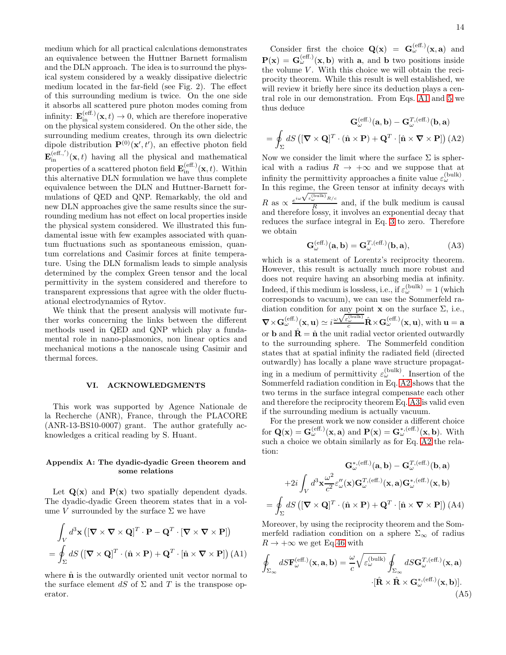medium which for all practical calculations demonstrates an equivalence between the Huttner Barnett formalism and the DLN approach. The idea is to surround the physical system considered by a weakly dissipative dielectric medium located in the far-field (see Fig. 2). The effect of this surrounding medium is twice. On the one side it absorbs all scattered pure photon modes coming from infinity:  $\mathbf{E}_{\text{in}}^{(\text{eff.})}(\mathbf{x},t) \to 0$ , which are therefore inoperative on the physical system considered. On the other side, the surrounding medium creates, through its own dielectric dipole distribution  $\mathbf{P}^{(0)}(\mathbf{x}',t')$ , an effective photon field  $\mathbf{E}_{\text{in}}^{(\text{eff.},')}(\mathbf{x},t)$  having all the physical and mathematical properties of a scattered photon field  $\mathbf{E}_{\text{in}}^{(\text{eff.})}(\mathbf{x}, t)$ . Within this alternative DLN formulation we have thus complete equivalence between the DLN and Huttner-Barnett formulations of QED and QNP. Remarkably, the old and new DLN approaches give the same results since the surrounding medium has not effect on local properties inside the physical system considered. We illustrated this fundamental issue with few examples associated with quantum fluctuations such as spontaneous emission, quantum correlations and Casimir forces at finite temperature. Using the DLN formalism leads to simple analysis determined by the complex Green tensor and the local permittivity in the system considered and therefore to transparent expressions that agree with the older fluctuational electrodynamics of Rytov.

We think that the present analysis will motivate further works concerning the links between the different methods used in QED and QNP which play a fundamental role in nano-plasmonics, non linear optics and mechanical motions a the nanoscale using Casimir and thermal forces.

#### VI. ACKNOWLEDGMENTS

This work was supported by Agence Nationale de la Recherche (ANR), France, through the PLACORE (ANR-13-BS10-0007) grant. The author gratefully acknowledges a critical reading by S. Huant.

# Appendix A: The dyadic-dyadic Green theorem and some relations

Let  $\mathbf{Q}(\mathbf{x})$  and  $\mathbf{P}(\mathbf{x})$  two spatially dependent dyads. The dyadic-dyadic Green theorem states that in a volume V surrounded by the surface  $\Sigma$  we have

<span id="page-13-1"></span>
$$
\int_{V} d^{3} \mathbf{x} \left( [\mathbf{\nabla} \times \mathbf{\nabla} \times \mathbf{Q}]^{T} \cdot \mathbf{P} - \mathbf{Q}^{T} \cdot [\mathbf{\nabla} \times \mathbf{\nabla} \times \mathbf{P}] \right)
$$

$$
= \oint_{\Sigma} dS \left( [\mathbf{\nabla} \times \mathbf{Q}]^{T} \cdot (\hat{\mathbf{n}} \times \mathbf{P}) + \mathbf{Q}^{T} \cdot [\hat{\mathbf{n}} \times \mathbf{\nabla} \times \mathbf{P}] \right) (A1)
$$

where  $\hat{\mathbf{n}}$  is the outwardly oriented unit vector normal to the surface element dS of  $\Sigma$  and T is the transpose operator.

Consider first the choice  $\mathbf{Q}(\mathbf{x}) = \mathbf{G}_{\omega}^{(\text{eff.})}(\mathbf{x}, \mathbf{a})$  and  $P(x) = G_{\omega}^{(eff.)}(x, b)$  with a, and b two positions inside the volume  $V$ . With this choice we will obtain the reciprocity theorem. While this result is well established, we will review it briefly here since its deduction plays a central role in our demonstration. From Eqs. [A1](#page-13-1) and [5](#page-2-2) we thus deduce

<span id="page-13-2"></span>
$$
\mathbf{G}_{\omega}^{(\text{eff.})}(\mathbf{a}, \mathbf{b}) - \mathbf{G}_{\omega}^{T, (\text{eff.})}(\mathbf{b}, \mathbf{a})
$$

$$
= \oint_{\Sigma} dS \left( [\mathbf{\nabla} \times \mathbf{Q}]^{T} \cdot (\hat{\mathbf{n}} \times \mathbf{P}) + \mathbf{Q}^{T} \cdot [\hat{\mathbf{n}} \times \mathbf{\nabla} \times \mathbf{P}] \right) (\text{A2})
$$

Now we consider the limit where the surface  $\Sigma$  is spherical with a radius  $R \to +\infty$  and we suppose that at infinity the permittivity approaches a finite value  $\varepsilon_{\omega}^{\text{(bulk)}}$ . In this regime, the Green tensor at infinity decays with R as  $\propto \frac{e}{1}$  $\frac{\partial \text{m/s}}{\partial \omega}$ <sub>ε $\frac{\partial \text{m/s}}{\partial \omega}$ <sub>R/c</sub></sub>  $\frac{S}{R}$  and, if the bulk medium is causal and therefore lossy, it involves an exponential decay that reduces the surface integral in Eq. [3](#page-1-1) to zero. Therefore we obtain

<span id="page-13-3"></span>
$$
\mathbf{G}_{\omega}^{(\text{eff.})}(\mathbf{a}, \mathbf{b}) = \mathbf{G}_{\omega}^{T, (\text{eff.})}(\mathbf{b}, \mathbf{a}), \tag{A3}
$$

which is a statement of Lorentz's reciprocity theorem. However, this result is actually much more robust and does not require having an absorbing media at infinity. Indeed, if this medium is lossless, i.e., if  $\varepsilon_{\omega}^{(\text{bulk})} = 1$  (which corresponds to vacuum), we can use the Sommerfeld radiation condition for any point  $x$  on the surface  $\Sigma$ , i.e.,  $\nabla \times \mathbf{G}_{\omega}^{(\text{eff.})}(\mathbf{x}, \mathbf{u}) \simeq i \frac{\omega \sqrt{\varepsilon_{\omega}^{(\text{bulk})}}}{c} \hat{\mathbf{R}} \times \mathbf{G}_{\omega}^{(\text{eff.})}(\mathbf{x}, \mathbf{u}), \text{ with } \mathbf{u} = \mathbf{a}$ or **b** and  $\hat{\mathbf{R}} = \hat{\mathbf{n}}$  the unit radial vector oriented outwardly to the surrounding sphere. The Sommerfeld condition states that at spatial infinity the radiated field (directed outwardly) has locally a plane wave structure propagating in a medium of permittivity  $\varepsilon_{\omega}^{(\text{bulk})}$ . Insertion of the Sommerfeld radiation condition in Eq. [A2](#page-13-2) shows that the two terms in the surface integral compensate each other and therefore the reciprocity theorem Eq. [A3](#page-13-3) is valid even if the surrounding medium is actually vacuum.

For the present work we now consider a different choice for  $\mathbf{Q}(\mathbf{x}) = \mathbf{G}_{\omega}^{(\text{eff.})}(\mathbf{x}, \mathbf{a})$  and  $\mathbf{P}(\mathbf{x}) = \mathbf{G}_{\omega}^{*,(\text{eff.})}(\mathbf{x}, \mathbf{b})$ . With such a choice we obtain similarly as for Eq. [A2](#page-13-2) the relation:

$$
\mathbf{G}_{\omega}^{*,\text{(eff.)}}(\mathbf{a},\mathbf{b}) - \mathbf{G}_{\omega}^{T,\text{(eff.)}}(\mathbf{b},\mathbf{a})
$$

$$
+ 2i \int_{V} d^{3} \mathbf{x} \frac{\omega^{2}}{c^{2}} \varepsilon_{\omega}^{"}(\mathbf{x}) \mathbf{G}_{\omega}^{T,\text{(eff.)}}(\mathbf{x},\mathbf{a}) \mathbf{G}_{\omega}^{*,\text{(eff.)}}(\mathbf{x},\mathbf{b})
$$

$$
\oint_{\Sigma} dS \left( [\mathbf{\nabla} \times \mathbf{Q}]^{T} \cdot (\hat{\mathbf{n}} \times \mathbf{P}) + \mathbf{Q}^{T} \cdot [\hat{\mathbf{n}} \times \mathbf{\nabla} \times \mathbf{P}] \right) (\text{A4})
$$

Moreover, by using the reciprocity theorem and the Sommerfeld radiation condition on a sphere  $\Sigma_{\infty}$  of radius  $R \rightarrow +\infty$  we get Eq[.46](#page-9-0) with

=

<span id="page-13-0"></span>
$$
\oint_{\Sigma_{\infty}} dS \mathbf{F}_{\omega}^{(\text{eff.})}(\mathbf{x}, \mathbf{a}, \mathbf{b}) = \frac{\omega}{c} \sqrt{\varepsilon_{\omega}^{(\text{bulk})}} \oint_{\Sigma_{\infty}} dS \mathbf{G}_{\omega}^{T, (\text{eff.})}(\mathbf{x}, \mathbf{a})
$$
\n
$$
\cdot [\hat{\mathbf{R}} \times \hat{\mathbf{R}} \times \mathbf{G}_{\omega}^{*, (\text{eff.})}(\mathbf{x}, \mathbf{b})].
$$
\n(A5)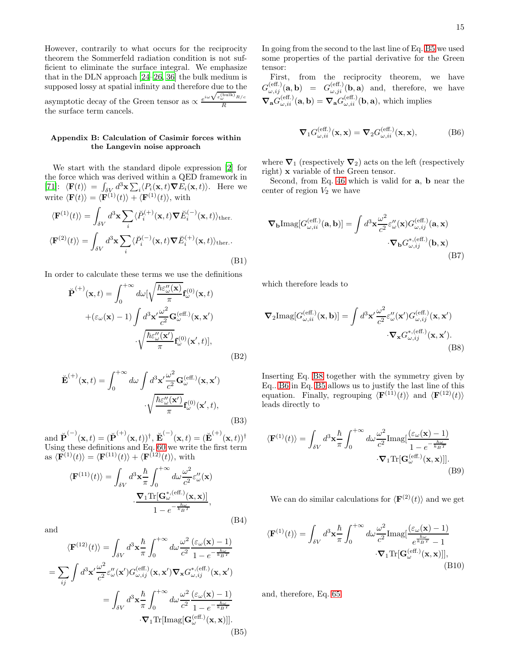However, contrarily to what occurs for the reciprocity theorem the Sommerfeld radiation condition is not sufficient to eliminate the surface integral. We emphasize that in the DLN approach [\[24](#page-15-12)[–26](#page-15-13), [36](#page-15-15)] the bulk medium is supposed lossy at spatial infinity and therefore due to the asymptotic decay of the Green tensor as  $\propto$  $e^{i\omega \sqrt{\varepsilon_{\omega}^{\text{(bulk)}}}R/c}$ R the surface term cancels.

# Appendix B: Calculation of Casimir forces within the Langevin noise approach

We start with the standard dipole expression [\[2\]](#page-15-1) for the force which was derived within a QED framework in [\[71\]](#page-16-1):  $\langle \mathbf{F}(t) \rangle = \int_{\delta V_i} d^3 \mathbf{x} \sum_i \langle P_i(\mathbf{x}, t) \nabla E_i(\mathbf{x}, t) \rangle$ . Here we write  $\langle \mathbf{F}(t) \rangle = \langle \mathbf{F}^{(1)}(t) \rangle + \langle \mathbf{F}^{(1)}(t) \rangle$ , with

$$
\langle \mathbf{F}^{(1)}(t) \rangle = \int_{\delta V} d^3 \mathbf{x} \sum_{i} \langle \check{P}_i^{(+)}(\mathbf{x}, t) \nabla \check{E}_i^{(-)}(\mathbf{x}, t) \rangle_{\text{ther.}}
$$

$$
\langle \mathbf{F}^{(2)}(t) \rangle = \int_{\delta V} d^3 \mathbf{x} \sum_{i} \langle \check{P}_i^{(-)}(\mathbf{x}, t) \nabla \check{E}_i^{(+)}(\mathbf{x}, t) \rangle_{\text{ther.}}.
$$
(B1)

In order to calculate these terms we use the definitions

$$
\breve{\mathbf{P}}^{(+)}(\mathbf{x},t) = \int_0^{+\infty} d\omega \left[\sqrt{\frac{\hbar \varepsilon_{\omega}^{\prime\prime}(\mathbf{x})}{\pi}} \mathbf{f}_{\omega}^{(0)}(\mathbf{x},t) + (\varepsilon_{\omega}(\mathbf{x}) - 1) \int d^3 \mathbf{x}' \frac{\omega^2}{c^2} \mathbf{G}_{\omega}^{(\text{eff.})}(\mathbf{x},\mathbf{x}') - \sqrt{\frac{\hbar \varepsilon_{\omega}^{\prime\prime}(\mathbf{x}')}{\pi}} \mathbf{f}_{\omega}^{(0)}(\mathbf{x}',t)\right],
$$
\n(B2)

$$
\breve{\mathbf{E}}^{(+)}(\mathbf{x},t) = \int_0^{+\infty} d\omega \int d^3 \mathbf{x}' \frac{\omega^2}{c^2} \mathbf{G}^{(\text{eff.})}_{\omega}(\mathbf{x}, \mathbf{x}')
$$

$$
\cdot \sqrt{\frac{\hbar \varepsilon''_{\omega}(\mathbf{x}')}{\pi}} \mathbf{f}^{(0)}_{\omega}(\mathbf{x}',t), \tag{B3}
$$

and  $\check{\mathbf{P}}^{(-)}(\mathbf{x},t) = (\check{\mathbf{P}}^{(+)}(\mathbf{x},t))^\dagger$ ,  $\check{\mathbf{E}}^{(-)}(\mathbf{x},t) = (\check{\mathbf{E}}^{(+)}(\mathbf{x},t))^\dagger$ Using these definitions and Eq. [60](#page-11-2) we write the first term as  $\langle \mathbf{F}^{(1)}(t)\rangle = \langle \mathbf{F}^{(11)}(t)\rangle + \langle \mathbf{F}^{(12)}(t)\rangle$ , with

$$
\langle \mathbf{F}^{(11)}(t) \rangle = \int_{\delta V} d^3 \mathbf{x} \frac{\hbar}{\pi} \int_0^{+\infty} d\omega \frac{\omega^2}{c^2} \varepsilon''_{\omega}(\mathbf{x})
$$

$$
\cdot \frac{\nabla_1 \text{Tr}[\mathbf{G}^*_{\omega}^{(\text{eff.})}(\mathbf{x}, \mathbf{x})]}{1 - e^{-\frac{\hbar \omega}{k_B T}}},
$$
(B4)

and

<span id="page-14-0"></span>
$$
\langle \mathbf{F}^{(12)}(t) \rangle = \int_{\delta V} d^3 \mathbf{x} \frac{\hbar}{\pi} \int_0^{+\infty} d\omega \frac{\omega^2}{c^2} \frac{(\varepsilon_{\omega}(\mathbf{x}) - 1)}{1 - e^{-\frac{\hbar \omega}{k_B T}}} \n= \sum_{ij} \int d^3 \mathbf{x}' \frac{\omega^2}{c^2} \varepsilon''_{\omega}(\mathbf{x}') G_{\omega, ij}^{(\text{eff.})}(\mathbf{x}, \mathbf{x}') \nabla_{\mathbf{x}} G_{\omega, ij}^{*, (\text{eff.})}(\mathbf{x}, \mathbf{x}') \n= \int_{\delta V} d^3 \mathbf{x} \frac{\hbar}{\pi} \int_0^{+\infty} d\omega \frac{\omega^2}{c^2} \frac{(\varepsilon_{\omega}(\mathbf{x}) - 1)}{1 - e^{-\frac{\hbar \omega}{k_B T}}} \n\cdot \nabla_1 \text{Tr}[\text{Imag}[\mathbf{G}_{\omega}^{(\text{eff.})}(\mathbf{x}, \mathbf{x})]].
$$
\n(B5)

In going from the second to the last line of Eq. [B5](#page-14-0) we used some properties of the partial derivative for the Green tensor:

First, from the reciprocity theorem, we have  $G_{\omega,ij}^{(\text{eff.})}(\mathbf{a},\mathbf{b}) = G_{\omega,ji}^{(\text{eff.})}(\mathbf{b},\mathbf{a})$  and, therefore, we have  $\nabla_{\mathbf{a}} G_{\omega,ii}^{(\text{eff.})}(\mathbf{a},\mathbf{b}) = \nabla_{\mathbf{a}} G_{\omega,ii}^{(\text{eff.})}(\mathbf{b},\mathbf{a}),$  which implies

<span id="page-14-2"></span>
$$
\nabla_1 G_{\omega,ii}^{(\text{eff.})}(\mathbf{x}, \mathbf{x}) = \nabla_2 G_{\omega,ii}^{(\text{eff.})}(\mathbf{x}, \mathbf{x}),
$$
(B6)

where  $\nabla_1$  (respectively  $\nabla_2$ ) acts on the left (respectively right) x variable of the Green tensor.

Second, from Eq. [46](#page-9-0) which is valid for a, b near the center of region  $V_2$  we have

$$
\nabla_{\mathbf{b}}\text{Imag}[G_{\omega,ii}^{(\text{eff.})}(\mathbf{a},\mathbf{b})] = \int d^3\mathbf{x} \frac{\omega^2}{c^2} \varepsilon_{\omega}''(\mathbf{x}) G_{\omega,ij}^{(\text{eff.})}(\mathbf{a},\mathbf{x}) \cdot \nabla_{\mathbf{b}} G_{\omega,ij}^{*,(\text{eff.})}(\mathbf{b},\mathbf{x})
$$
(B7)

which therefore leads to

<span id="page-14-1"></span>
$$
\nabla_2 \text{Imag}[G_{\omega,ii}^{(\text{eff.})}(\mathbf{x}, \mathbf{b})] = \int d^3 \mathbf{x}' \frac{\omega^2}{c^2} \varepsilon_{\omega}''(\mathbf{x}') G_{\omega,ij}^{(\text{eff.})}(\mathbf{x}, \mathbf{x}')
$$

$$
\cdot \nabla_{\mathbf{x}} G_{\omega,ij}^{*, (\text{eff.})}(\mathbf{x}, \mathbf{x}').
$$
(B8)

Inserting Eq. [B8](#page-14-1) together with the symmetry given by Eq.. [B6](#page-14-2) in Eq. [B5](#page-14-0) allows us to justify the last line of this equation. Finally, regrouping  $\langle \mathbf{F}^{(11)}(t) \rangle$  and  $\langle \mathbf{F}^{(12)}(t) \rangle$ leads directly to

$$
\langle \mathbf{F}^{(1)}(t) \rangle = \int_{\delta V} d^3 \mathbf{x} \frac{\hbar}{\pi} \int_0^{+\infty} d\omega \frac{\omega^2}{c^2} \text{Imag} \left[ \frac{(\varepsilon_\omega(\mathbf{x}) - 1)}{1 - e^{-\frac{\hbar \omega}{k_B T}}} \right. \cdot \mathbf{\nabla}_1 \text{Tr}[\mathbf{G}^{(\text{eff.})}_{\omega}(\mathbf{x}, \mathbf{x})]]. \tag{B9}
$$

We can do similar calculations for  $\langle \mathbf{F}^{(2)}(t) \rangle$  and we get

$$
\langle \mathbf{F}^{(1)}(t) \rangle = \int_{\delta V} d^3 \mathbf{x} \frac{\hbar}{\pi} \int_0^{+\infty} d\omega \frac{\omega^2}{c^2} \text{Imag} \left[ \frac{(\varepsilon_\omega(\mathbf{x}) - 1)}{e^{\frac{\hbar \omega}{k_B T}} - 1} - \nabla_1 \text{Tr}[\mathbf{G}^{(\text{eff.})}_{\omega}(\mathbf{x}, \mathbf{x})] \right],
$$
\n(B10)

and, therefore, Eq. [65.](#page-12-0)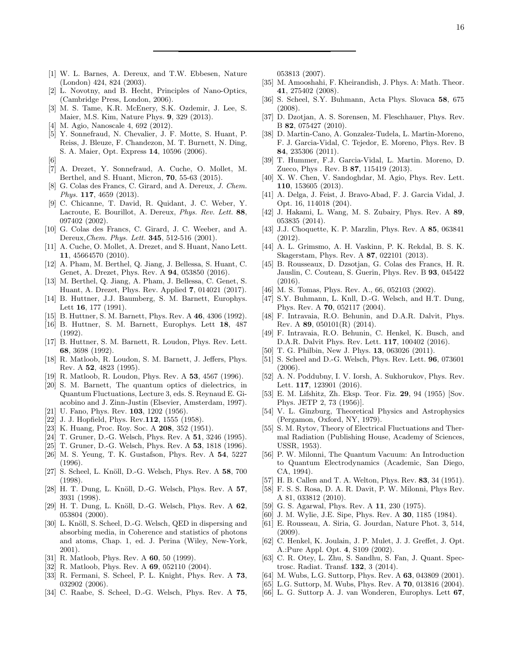- <span id="page-15-0"></span>[1] W. L. Barnes, A. Dereux, and T.W. Ebbesen, Nature (London) 424, 824 (2003).
- <span id="page-15-1"></span>[2] L. Novotny, and B. Hecht, Principles of Nano-Optics, (Cambridge Press, London, 2006).
- <span id="page-15-2"></span>[3] M. S. Tame, K.R. McEnery, S.K. Ozdemir, J. Lee, S. Maier, M.S. Kim, Nature Phys. 9, 329 (2013).
- <span id="page-15-3"></span>[4] M. Agio, Nanoscale 4, 692 (2012).
- <span id="page-15-4"></span>[5] Y. Sonnefraud, N. Chevalier, J. F. Motte, S. Huant, P. Reiss, J. Bleuze, F. Chandezon, M. T. Burnett, N. Ding, S. A. Maier, Opt. Express 14, 10596 (2006).
- <span id="page-15-5"></span>[6]
- [7] A. Drezet, Y. Sonnefraud, A. Cuche, O. Mollet, M. Berthel, and S. Huant, Micron, 70, 55-63 (2015).
- <span id="page-15-6"></span>[8] G. Colas des Francs, C. Girard, and A. Dereux, J. Chem. Phys. 117, 4659 (2013).
- [9] C. Chicanne, T. David, R. Quidant, J. C. Weber, Y. Lacroute, E. Bourillot, A. Dereux, Phys. Rev. Lett. 88, 097402 (2002).
- [10] G. Colas des Francs, C. Girard, J. C. Weeber, and A. Dereux, *Chem. Phys. Lett.* **345**, 512-516 (2001).
- [11] A. Cuche, O. Mollet, A. Drezet, and S. Huant, Nano Lett. 11, 45664570 (2010).
- [12] A. Pham, M. Berthel, Q. Jiang, J. Bellessa, S. Huant, C. Genet, A. Drezet, Phys. Rev. A 94, 053850 (2016).
- <span id="page-15-7"></span>[13] M. Berthel, Q. Jiang, A. Pham, J. Bellessa, C. Genet, S. Huant, A. Drezet, Phys. Rev. Applied 7, 014021 (2017).
- <span id="page-15-8"></span>[14] B. Huttner, J.J. Baumberg, S. M. Barnett, Europhys. Lett 16, 177 (1991).
- [15] B. Huttner, S. M. Barnett, Phys. Rev. A 46, 4306 (1992).
- [16] B. Huttner, S. M. Barnett, Europhys. Lett 18, 487 (1992).
- <span id="page-15-33"></span>[17] B. Huttner, S. M. Barnett, R. Loudon, Phys. Rev. Lett. 68, 3698 (1992).
- [18] R. Matloob, R. Loudon, S. M. Barnett, J. Jeffers, Phys. Rev. A 52, 4823 (1995).
- [19] R. Matloob, R. Loudon, Phys. Rev. A 53, 4567 (1996).
- <span id="page-15-9"></span>[20] S. M. Barnett, The quantum optics of dielectrics, in Quantum Fluctuations, Lecture 3, eds. S. Reynaud E. Giacobino and J. Zinn-Justin (Elsevier, Amsterdam, 1997).
- <span id="page-15-10"></span>[21] U. Fano, Phys. Rev. **103**, 1202 (1956).
- <span id="page-15-29"></span>[22] J. J. Hopfield, Phys. Rev.112, 1555 (1958).
- <span id="page-15-11"></span>[23] K. Huang, Proc. Roy. Soc. A **208**, 352 (1951).
- <span id="page-15-12"></span>[24] T. Gruner, D.-G. Welsch, Phys. Rev. A 51, 3246 (1995).
- [25] T. Gruner, D.-G. Welsch, Phys. Rev. A 53, 1818 (1996).
- <span id="page-15-13"></span>[26] M. S. Yeung, T. K. Gustafson, Phys. Rev. A 54, 5227 (1996).
- <span id="page-15-14"></span>[27] S. Scheel, L. Knöll, D.-G. Welsch, Phys. Rev. A 58, 700 (1998).
- [28] H. T. Dung, L. Knöll, D.-G. Welsch, Phys. Rev. A 57, 3931 (1998).
- <span id="page-15-31"></span>[29] H. T. Dung, L. Knöll, D.-G. Welsch, Phys. Rev. A 62, 053804 (2000).
- [30] L. Knöll, S. Scheel, D.-G. Welsch, QED in dispersing and absorbing media, in Coherence and statistics of photons and atoms, Chap. 1, ed. J. Perina (Wiley, New-York, 2001).
- [31] R. Matloob, Phys. Rev. A 60, 50 (1999).
- [32] R. Matloob, Phys. Rev. A **69**, 052110 (2004).
- <span id="page-15-30"></span>[33] R. Fermani, S. Scheel, P. L. Knight, Phys. Rev. A 73, 032902 (2006).
- [34] C. Raabe, S. Scheel, D.-G. Welsch, Phys. Rev. A 75,

053813 (2007).

- [35] M. Amooshahi, F. Kheirandish, J. Phys. A: Math. Theor. 41, 275402 (2008).
- <span id="page-15-15"></span>[36] S. Scheel, S.Y. Buhmann, Acta Phys. Slovaca 58, 675 (2008).
- <span id="page-15-16"></span>[37] D. Dzotjan, A. S. Sorensen, M. Fleschhauer, Phys. Rev. B 82, 075427 (2010).
- [38] D. Martin-Cano, A. Gonzalez-Tudela, L. Martin-Moreno, F. J. Garcia-Vidal, C. Tejedor, E. Moreno, Phys. Rev. B 84, 235306 (2011).
- [39] T. Hummer, F.J. Garcia-Vidal, L. Martin. Moreno, D. Zueco, Phys . Rev. B 87, 115419 (2013).
- <span id="page-15-32"></span>[40] X. W. Chen, V. Sandoghdar, M. Agio, Phys. Rev. Lett. 110, 153605 (2013).
- [41] A. Delga, J. Feist, J. Bravo-Abad, F. J. Garcia Vidal, J. Opt. 16, 114018 (204).
- [42] J. Hakami, L. Wang, M. S. Zubairy, Phys. Rev. A 89, 053835 (2014).
- [43] J.J. Choquette, K. P. Marzlin, Phys. Rev. A **85**, 063841 (2012).
- [44] A. L. Grimsmo, A. H. Vaskinn, P. K. Rekdal, B. S. K. Skagerstam, Phys. Rev. A 87, 022101 (2013).
- <span id="page-15-17"></span>[45] B. Rousseaux, D. Dzsotjan, G. Colas des Francs, H. R. Jauslin, C. Couteau, S. Guerin, Phys. Rev. B 93, 045422 (2016).
- <span id="page-15-18"></span>[46] M. S. Tomas, Phys. Rev. A., 66, 052103 (2002).
- [47] S.Y. Buhmann, L. Knll, D.-G. Welsch, and H.T. Dung, Phys. Rev. A 70, 052117 (2004).
- [48] F. Intravaia, R.O. Behunin, and D.A.R. Dalvit, Phys. Rev. A  $89, 050101(R)$  (2014).
- [49] F. Intravaia, R.O. Behunin, C. Henkel, K. Busch, and D.A.R. Dalvit Phys. Rev. Lett. 117, 100402 (2016).
- <span id="page-15-19"></span>[50] T. G. Philbin, New J. Phys. 13, 063026 (2011).
- <span id="page-15-20"></span>[51] S. Scheel and D.-G. Welsch, Phys. Rev. Lett. 96, 073601 (2006).
- <span id="page-15-21"></span>[52] A. N. Poddubny, I. V. Iorsh, A. Sukhorukov, Phys. Rev. Lett. 117, 123901 (2016).
- <span id="page-15-22"></span>[53] E. M. Lifshitz, Zh. Eksp. Teor. Fiz. 29, 94 (1955) [Sov. Phys. JETP 2, 73 (1956)].
- [54] V. L. Ginzburg, Theoretical Physics and Astrophysics (Pergamon, Oxford, NY, 1979).
- <span id="page-15-28"></span>[55] S. M. Rytov, Theory of Electrical Fluctuations and Thermal Radiation (Publishing House, Academy of Sciences, USSR, 1953).
- <span id="page-15-23"></span>[56] P. W. Milonni, The Quantum Vacuum: An Introduction to Quantum Electrodynamics (Academic, San Diego, CA, 1994).
- <span id="page-15-24"></span>[57] H. B. Callen and T. A. Welton, Phys. Rev. 83, 34 (1951).
- <span id="page-15-25"></span>[58] F. S. S. Rosa, D. A. R. Davit, P. W. Milonni, Phys Rev. A 81, 033812 (2010).
- [59] G. S. Agarwal, Phys. Rev. A 11, 230 (1975).
- [60] J. M. Wylie, J.E. Sipe, Phys. Rev. A 30, 1185 (1984).
- [61] E. Rousseau, A. Siria, G. Jourdan, Nature Phot. 3, 514, (2009).
- [62] C. Henkel, K. Joulain, J. P. Mulet, J. J. Greffet, J. Opt. A.:Pure Appl. Opt. 4, S109 (2002).
- <span id="page-15-26"></span>[63] C. R. Otey, L. Zhu, S. Sandhu, S. Fan, J. Quant. Spectrosc. Radiat. Transf. 132, 3 (2014).
- <span id="page-15-27"></span>[64] M. Wubs, L.G. Suttorp, Phys. Rev. A **63**, 043809 (2001).
- [65] L.G. Suttorp, M. Wubs, Phys. Rev. A 70, 013816 (2004).
- [66] L. G. Suttorp A. J. van Wonderen, Europhys. Lett 67,